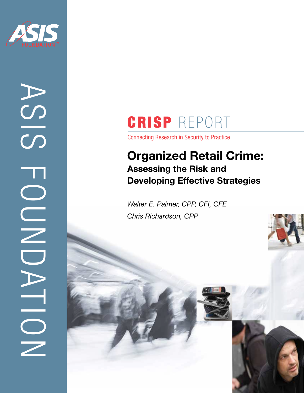

ASIS FOUNDATION ASIS HOIPATION

# CRISP REPORT

Connecting Research in Security to Practice

### **Organized Retail Crime: Assessing the Risk and Developing Effective Strategies**

*Walter E. Palmer, CPP, CFI, CFE Chris Richardson, CPP*

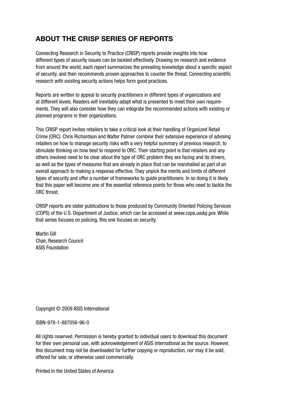#### **ABOUT THE CRISP SERIES OF REPORTS**

Connecting Research in Security to Practice (CRISP) reports provide insights into how different types of security issues can be tackled effectively. Drawing on research and evidence from around the world, each report summarizes the prevailing knowledge about a specific aspect of security, and then recommends proven approaches to counter the threat. Connecting scientific research with existing security actions helps form good practices.

Reports are written to appeal to security practitioners in different types of organizations and at different levels. Readers will inevitably adapt what is presented to meet their own requirements. They will also consider how they can integrate the recommended actions with existing or planned programs in their organizations.

This CRISP report invites retailers to take a critical look at their handling of Organized Retail Crime (ORC). Chris Richardson and Walter Palmer combine their extensive experience of advising retailers on how to manage security risks with a very helpful summary of previous research, to stimulate thinking on how best to respond to ORC. Their starting point is that retailers and any others involved need to be clear about the type of ORC problem they are facing and its drivers, as well as the types of measures that are already in place that can be marshalled as part of an overall approach to making a response effective. They unpick the merits and limits of different types of security and offer a number of frameworks to guide practitioners. In so doing it is likely that this paper will become one of the essential reference points for those who need to tackle the ORC threat.

CRISP reports are sister publications to those produced by Community Oriented Policing Services (COPS) of the U.S. Department of Justice, which can be accessed at *www.cops.usdoj.gov.* While that series focuses on policing, this one focuses on security.

Martin Gill Chair, Research Council ASIS Foundation

Copyright © 2009 ASIS International

ISBN-978-1-887056-96-0

All rights reserved. Permission is hereby granted to individual users to download this document for their own personal use, with acknowledgement of ASIS International as the source. However, this document may not be downloaded for further copying or reproduction, nor may it be sold, offered for sale, or otherwise used commercially.

Printed in the United States of America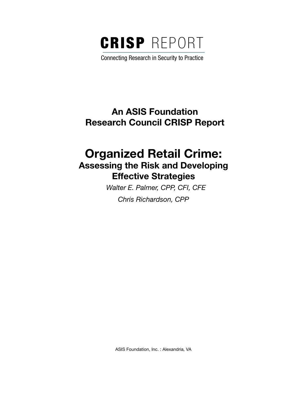

Connecting Research in Security to Practice

### **An ASIS Foundation Research Council CRISP Report**

### **Organized Retail Crime: Assessing the Risk and Developing Effective Strategies**

*Walter E. Palmer, CPP, CFI, CFE Chris Richardson, CPP*

ASIS Foundation, Inc. : Alexandria, VA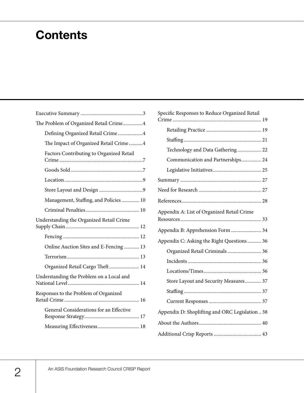### **Contents**

| The Problem of Organized Retail Crime4   |
|------------------------------------------|
| Defining Organized Retail Crime 4        |
| The Impact of Organized Retail Crime 4   |
| Factors Contributing to Organized Retail |
|                                          |
|                                          |
|                                          |
| Management, Staffing, and Policies  10   |
|                                          |
| Understanding the Organized Retail Crime |
|                                          |
| Online Auction Sites and E-Fencing  13   |
|                                          |
| Organized Retail Cargo Theft  14         |
| Understanding the Problem on a Local and |
| Responses to the Problem of Organized    |
| General Considerations for an Effective  |
|                                          |
|                                          |

| Specific Responses to Reduce Organized Retail   |
|-------------------------------------------------|
|                                                 |
|                                                 |
|                                                 |
| Technology and Data Gathering 22                |
| Communication and Partnerships 24               |
|                                                 |
|                                                 |
|                                                 |
|                                                 |
| Appendix A: List of Organized Retail Crime      |
| Appendix B: Apprehension Form  34               |
| Appendix C: Asking the Right Questions  36      |
| Organized Retail Criminals  36                  |
|                                                 |
|                                                 |
| Store Layout and Security Measures 37           |
|                                                 |
|                                                 |
| Appendix D: Shoplifting and ORC Legislation  38 |
|                                                 |
|                                                 |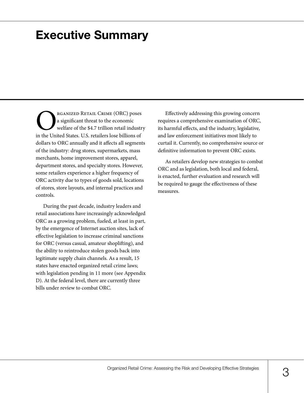### **Executive Summary**

RETAIL CRIME (ORC) poses<br>
a significant threat to the economic<br>
welfare of the \$4.7 trillion retail industr<br>
in the United States. U.S. retailers lose billions of a significant threat to the economic welfare of the \$4.7 trillion retail industry dollars to ORC annually and it affects all segments of the industry: drug stores, supermarkets, mass merchants, home improvement stores, apparel, department stores, and specialty stores. However, some retailers experience a higher frequency of ORC activity due to types of goods sold, locations of stores, store layouts, and internal practices and controls.

During the past decade, industry leaders and retail associations have increasingly acknowledged ORC as a growing problem, fueled, at least in part, by the emergence of Internet auction sites, lack of effective legislation to increase criminal sanctions for ORC (versus casual, amateur shoplifting), and the ability to reintroduce stolen goods back into legitimate supply chain channels. As a result, 15 states have enacted organized retail crime laws; with legislation pending in 11 more (see Appendix D). At the federal level, there are currently three bills under review to combat ORC.

Effectively addressing this growing concern requires a comprehensive examination of ORC, its harmful effects, and the industry, legislative, and law enforcement initiatives most likely to curtail it. Currently, no comprehensive source or definitive information to prevent ORC exists.

As retailers develop new strategies to combat ORC and as legislation, both local and federal, is enacted, further evaluation and research will be required to gauge the effectiveness of these measures.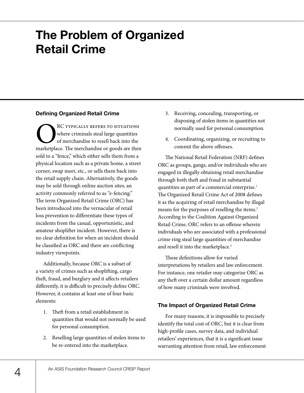### **The Problem of Organized Retail Crime**

#### **Defining Organized Retail Crime**

RC TYPICALLY REFERS TO SITUATIONS<br>
of merchandise to resell back into the<br>
marketplace. The merchandise or goods are then where criminals steal large quantities of merchandise to resell back into the sold to a "fence," which either sells them from a physical location such as a private home, a street corner, swap meet, etc., or sells them back into the retail supply chain. Alternatively, the goods may be sold through online auction sites, an activity commonly referred to as "e-fencing." The term Organized Retail Crime (ORC) has been introduced into the vernacular of retail loss prevention to differentiate these types of incidents from the casual, opportunistic, and amateur shoplifter incident. However, there is no clear definition for when an incident should be classified as ORC and there are conflicting industry viewpoints.

Additionally, because ORC is a subset of a variety of crimes such as shoplifting, cargo theft, fraud, and burglary and it affects retailers differently, it is difficult to precisely define ORC. However, it contains at least one of four basic elements:

- 1. Theft from a retail establishment in quantities that would not normally be used for personal consumption.
- 2. Reselling large quantities of stolen items to be re-entered into the marketplace.
- 3. Receiving, concealing, transporting, or disposing of stolen items in quantities not normally used for personal consumption.
- 4. Coordinating, organizing, or recruiting to commit the above offenses.

The National Retail Federation (NRF) defines ORC as groups, gangs, and/or individuals who are engaged in illegally obtaining retail merchandise through both theft and fraud in substantial quantities as part of a commercial enterprise.<sup>1</sup> The Organized Retail Crime Act of 2008 defines it as the acquiring of retail merchandise by illegal means for the purposes of reselling the items.<sup>2</sup> According to the Coalition Against Organized Retail Crime, ORC refers to an offense wherein individuals who are associated with a professional crime ring steal large quantities of merchandise and resell it into the marketplace.<sup>3</sup>

These definitions allow for varied interpretations by retailers and law enforcement. For instance, one retailer may categorize ORC as any theft over a certain dollar amount regardless of how many criminals were involved.

#### **The Impact of Organized Retail Crime**

For many reasons, it is impossible to precisely identify the total cost of ORC, but it is clear from high-profile cases, survey data, and individual retailers' experiences, that it is a significant issue warranting attention from retail, law enforcement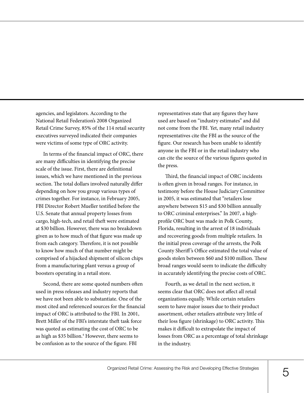agencies, and legislators. According to the National Retail Federation's 2008 Organized Retail Crime Survey, 85% of the 114 retail security executives surveyed indicated their companies were victims of some type of ORC activity.

In terms of the financial impact of ORC, there are many difficulties in identifying the precise scale of the issue. First, there are definitional issues, which we have mentioned in the previous section. The total dollars involved naturally differ depending on how you group various types of crimes together. For instance, in February 2005, FBI Director Robert Mueller testified before the U.S. Senate that annual property losses from cargo, high-tech, and retail theft were estimated at \$30 billion. However, there was no breakdown given as to how much of that figure was made up from each category. Therefore, it is not possible to know how much of that number might be comprised of a hijacked shipment of silicon chips from a manufacturing plant versus a group of boosters operating in a retail store.

Second, there are some quoted numbers often used in press releases and industry reports that we have not been able to substantiate. One of the most cited and referenced sources for the financial impact of ORC is attributed to the FBI. In 2001, Brett Miller of the FBI's interstate theft task force was quoted as estimating the cost of ORC to be as high as \$35 billion.<sup>4</sup> However, there seems to be confusion as to the source of the figure. FBI

representatives state that any figures they have used are based on "industry estimates" and did not come from the FBI. Yet, many retail industry representatives cite the FBI as the source of the figure. Our research has been unable to identify anyone in the FBI or in the retail industry who can cite the source of the various figures quoted in the press.

Third, the financial impact of ORC incidents is often given in broad ranges. For instance, in testimony before the House Judiciary Committee in 2005, it was estimated that "retailers lose anywhere between \$15 and \$30 billion annually to ORC criminal enterprises." In 2007, a highprofile ORC bust was made in Polk County, Florida, resulting in the arrest of 18 individuals and recovering goods from multiple retailers. In the initial press coverage of the arrests, the Polk County Sheriff 's Office estimated the total value of goods stolen between \$60 and \$100 million. These broad ranges would seem to indicate the difficulty in accurately identifying the precise costs of ORC.

Fourth, as we detail in the next section, it seems clear that ORC does not affect all retail organizations equally. While certain retailers seem to have major issues due to their product assortment, other retailers attribute very little of their loss figure (shrinkage) to ORC activity. This makes it difficult to extrapolate the impact of losses from ORC as a percentage of total shrinkage in the industry.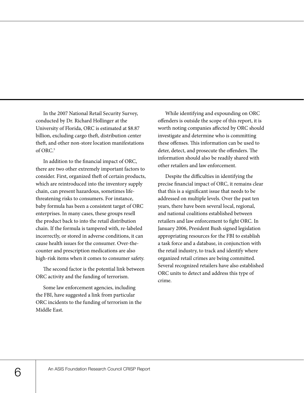In the 2007 National Retail Security Survey, conducted by Dr. Richard Hollinger at the University of Florida, ORC is estimated at \$8.87 billion, excluding cargo theft, distribution center theft, and other non-store location manifestations of ORC. $5$ 

In addition to the financial impact of ORC, there are two other extremely important factors to consider. First, organized theft of certain products, which are reintroduced into the inventory supply chain, can present hazardous, sometimes lifethreatening risks to consumers. For instance, baby formula has been a consistent target of ORC enterprises. In many cases, these groups resell the product back to into the retail distribution chain. If the formula is tampered with, re-labeled incorrectly, or stored in adverse conditions, it can cause health issues for the consumer. Over-thecounter and prescription medications are also high-risk items when it comes to consumer safety.

The second factor is the potential link between ORC activity and the funding of terrorism.

Some law enforcement agencies, including the FBI, have suggested a link from particular ORC incidents to the funding of terrorism in the Middle East.

While identifying and expounding on ORC offenders is outside the scope of this report, it is worth noting companies affected by ORC should investigate and determine who is committing these offenses. This information can be used to deter, detect, and prosecute the offenders. The information should also be readily shared with other retailers and law enforcement.

Despite the difficulties in identifying the precise financial impact of ORC, it remains clear that this is a significant issue that needs to be addressed on multiple levels. Over the past ten years, there have been several local, regional, and national coalitions established between retailers and law enforcement to fight ORC. In January 2006, President Bush signed legislation appropriating resources for the FBI to establish a task force and a database, in conjunction with the retail industry, to track and identify where organized retail crimes are being committed. Several recognized retailers have also established ORC units to detect and address this type of crime.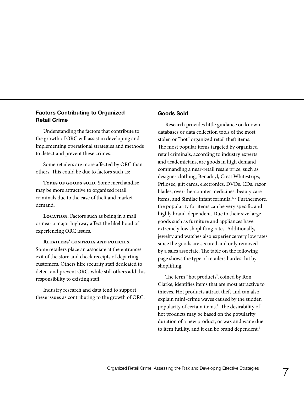#### **Factors Contributing to Organized Retail Crime**

Understanding the factors that contribute to the growth of ORC will assist in developing and implementing operational strategies and methods to detect and prevent these crimes.

Some retailers are more affected by ORC than others. This could be due to factors such as:

**TYPES OF GOODS SOLD.** Some merchandise may be more attractive to organized retail criminals due to the ease of theft and market demand.

LOCATION. Factors such as being in a mall or near a major highway affect the likelihood of experiencing ORC issues.

**Retailers' controls and policies.** Some retailers place an associate at the entrance/ exit of the store and check receipts of departing customers. Others hire security staff dedicated to detect and prevent ORC, while still others add this responsibility to existing staff.

Industry research and data tend to support these issues as contributing to the growth of ORC.

#### **Goods Sold**

Research provides little guidance on known databases or data collection tools of the most stolen or "hot" organized retail theft items. The most popular items targeted by organized retail criminals, according to industry experts and academicians, are goods in high demand commanding a near-retail resale price, such as designer clothing, Benadryl, Crest Whitestrips, Prilosec, gift cards, electronics, DVDs, CDs, razor blades, over-the-counter medicines, beauty care items, and Similac infant formula.<sup>6, 7</sup> Furthermore, the popularity for items can be very specific and highly brand-dependent. Due to their size large goods such as furniture and appliances have extremely low shoplifting rates. Additionally, jewelry and watches also experience very low rates since the goods are secured and only removed by a sales associate. The table on the following page shows the type of retailers hardest hit by shoplifting.

The term "hot products", coined by Ron Clarke, identifies items that are most attractive to thieves. Hot products attract theft and can also explain mini-crime waves caused by the sudden popularity of certain items.8 The desirability of hot products may be based on the popularity duration of a new product, or wax and wane due to item futility, and it can be brand dependent.<sup>9</sup>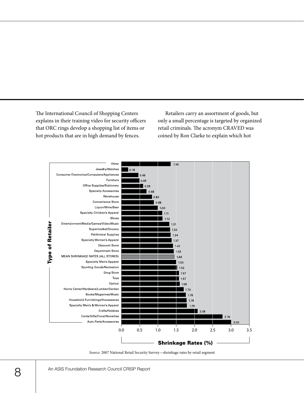The International Council of Shopping Centers explains in their training video for security officers that ORC rings develop a shopping list of items or hot products that are in high demand by fences.

Retailers carry an assortment of goods, but only a small percentage is targeted by organized retail criminals. The acronym CRAVED was coined by Ron Clarke to explain which hot



*Source:* 2007 National Retail Security Survey—shrinkage rates by retail segment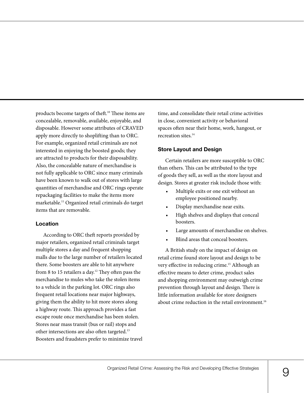products become targets of theft.<sup>10</sup> These items are concealable, removable, available, enjoyable, and disposable. However some attributes of CRAVED apply more directly to shoplifting than to ORC. For example, organized retail criminals are not interested in enjoying the boosted goods; they are attracted to products for their disposability. Also, the concealable nature of merchandise is not fully applicable to ORC since many criminals have been known to walk out of stores with large quantities of merchandise and ORC rings operate repackaging facilities to make the items more marketable.11 Organized retail criminals do target items that are removable.

#### **Location**

According to ORC theft reports provided by major retailers, organized retail criminals target multiple stores a day and frequent shopping malls due to the large number of retailers located there. Some boosters are able to hit anywhere from 8 to 15 retailers a day.<sup>12</sup> They often pass the merchandise to mules who take the stolen items to a vehicle in the parking lot. ORC rings also frequent retail locations near major highways, giving them the ability to hit more stores along a highway route. This approach provides a fast escape route once merchandise has been stolen. Stores near mass transit (bus or rail) stops and other intersections are also often targeted.<sup>13</sup> Boosters and fraudsters prefer to minimize travel time, and consolidate their retail crime activities in close, convenient activity or behavioral spaces often near their home, work, hangout, or recreation sites.14

#### **Store Layout and Design**

Certain retailers are more susceptible to ORC than others. This can be attributed to the type of goods they sell, as well as the store layout and design. Stores at greater risk include those with:

- Multiple exits or one exit without an employee positioned nearby.
- Display merchandise near exits.
- High shelves and displays that conceal boosters.
- Large amounts of merchandise on shelves.
- Blind areas that conceal boosters.

A British study on the impact of design on retail crime found store layout and design to be very effective in reducing crime.<sup>15</sup> Although an effective means to deter crime, product sales and shopping environment may outweigh crime prevention through layout and design. There is little information available for store designers about crime reduction in the retail environment.<sup>16</sup>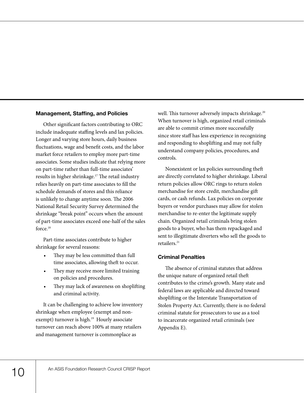#### **Management, Staffing, and Policies**

Other significant factors contributing to ORC include inadequate staffing levels and lax policies. Longer and varying store hours, daily business fluctuations, wage and benefit costs, and the labor market force retailers to employ more part-time associates. Some studies indicate that relying more on part-time rather than full-time associates' results in higher shrinkage.<sup>17</sup> The retail industry relies heavily on part-time associates to fill the schedule demands of stores and this reliance is unlikely to change anytime soon. The 2006 National Retail Security Survey determined the shrinkage "break point" occurs when the amount of part-time associates exceed one-half of the sales force  $18$ 

Part-time associates contribute to higher shrinkage for several reasons:

- They may be less committed than full time associates, allowing theft to occur.
- They may receive more limited training on policies and procedures.
- They may lack of awareness on shoplifting and criminal activity.

It can be challenging to achieve low inventory shrinkage when employee (exempt and nonexempt) turnover is high.<sup>19</sup> Hourly associate turnover can reach above 100% at many retailers and management turnover is commonplace as

well. This turnover adversely impacts shrinkage.<sup>20</sup> When turnover is high, organized retail criminals are able to commit crimes more successfully since store staff has less experience in recognizing and responding to shoplifting and may not fully understand company policies, procedures, and controls.

Nonexistent or lax policies surrounding theft are directly correlated to higher shrinkage. Liberal return policies allow ORC rings to return stolen merchandise for store credit, merchandise gift cards, or cash refunds. Lax policies on corporate buyers or vendor purchases may allow for stolen merchandise to re-enter the legitimate supply chain. Organized retail criminals bring stolen goods to a buyer, who has them repackaged and sent to illegitimate diverters who sell the goods to retailers.<sup>21</sup>

#### **Criminal Penalties**

The absence of criminal statutes that address the unique nature of organized retail theft contributes to the crime's growth. Many state and federal laws are applicable and directed toward shoplifting or the Interstate Transportation of Stolen Property Act. Currently, there is no federal criminal statute for prosecutors to use as a tool to incarcerate organized retail criminals (see Appendix E).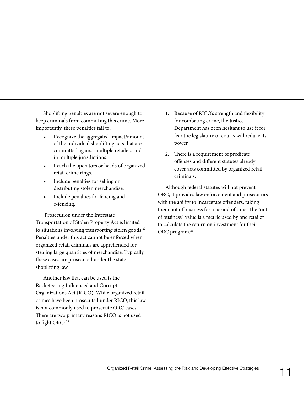Shoplifting penalties are not severe enough to keep criminals from committing this crime. More importantly, these penalties fail to:

- Recognize the aggregated impact/amount of the individual shoplifting acts that are committed against multiple retailers and in multiple jurisdictions.
- Reach the operators or heads of organized retail crime rings.
- Include penalties for selling or distributing stolen merchandise.
- Include penalties for fencing and e-fencing.

 Prosecution under the Interstate Transportation of Stolen Property Act is limited to situations involving transporting stolen goods. $^{22}$ Penalties under this act cannot be enforced when organized retail criminals are apprehended for stealing large quantities of merchandise. Typically, these cases are prosecuted under the state shoplifting law.

Another law that can be used is the Racketeering Influenced and Corrupt Organizations Act (RICO). While organized retail crimes have been prosecuted under RICO, this law is not commonly used to prosecute ORC cases. There are two primary reasons RICO is not used to fight ORC: <sup>23</sup>

- 1. Because of RICO's strength and flexibility for combating crime, the Justice Department has been hesitant to use it for fear the legislature or courts will reduce its power.
- 2. There is a requirement of predicate offenses and different statutes already cover acts committed by organized retail criminals.

Although federal statutes will not prevent ORC, it provides law enforcement and prosecutors with the ability to incarcerate offenders, taking them out of business for a period of time. The "out of business" value is a metric used by one retailer to calculate the return on investment for their ORC program.<sup>24</sup>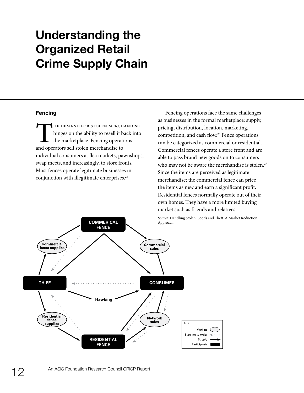## **Understanding the Organized Retail Crime Supply Chain**

#### **Fencing**

THE DEMAND FOR STOLEN MERCHANDISE<br>hinges on the ability to resell it back into<br>the marketplace. Fencing operations<br>and operators sell stolen merchandise to hinges on the ability to resell it back into the marketplace. Fencing operations and operators sell stolen merchandise to individual consumers at flea markets, pawnshops, swap meets, and increasingly, to store fronts. Most fences operate legitimate businesses in conjunction with illegitimate enterprises.25

Fencing operations face the same challenges as businesses in the formal marketplace: supply, pricing, distribution, location, marketing, competition, and cash flow.<sup>26</sup> Fence operations can be categorized as commercial or residential. Commercial fences operate a store front and are able to pass brand new goods on to consumers who may not be aware the merchandise is stolen.<sup>27</sup> Since the items are perceived as legitimate merchandise; the commercial fence can price the items as new and earn a significant profit. Residential fences normally operate out of their own homes. They have a more limited buying market such as friends and relatives.

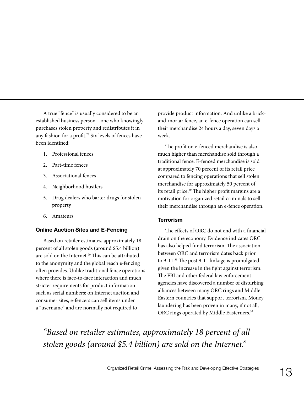A true "fence" is usually considered to be an established business person—one who knowingly purchases stolen property and redistributes it in any fashion for a profit.<sup>28</sup> Six levels of fences have been identified:

- 1. Professional fences
- 2. Part-time fences
- 3. Associational fences
- 4. Neighborhood hustlers
- 5. Drug dealers who barter drugs for stolen property
- 6. Amateurs

#### **Online Auction Sites and E-Fencing**

Based on retailer estimates, approximately 18 percent of all stolen goods (around \$5.4 billion) are sold on the Internet.<sup>29</sup> This can be attributed to the anonymity and the global reach e-fencing often provides. Unlike traditional fence operations where there is face-to-face interaction and much stricter requirements for product information such as serial numbers; on Internet auction and consumer sites, e-fencers can sell items under a "username" and are normally not required to

provide product information. And unlike a brickand-mortar fence, an e-fence operation can sell their merchandise 24 hours a day, seven days a week.

The profit on e-fenced merchandise is also much higher than merchandise sold through a traditional fence. E-fenced merchandise is sold at approximately 70 percent of its retail price compared to fencing operations that sell stolen merchandise for approximately 50 percent of its retail price.<sup>30</sup> The higher profit margins are a motivation for organized retail criminals to sell their merchandise through an e-fence operation.

#### **Terrorism**

The effects of ORC do not end with a financial drain on the economy. Evidence indicates ORC has also helped fund terrorism. The association between ORC and terrorism dates back prior to 9-11.<sup>31</sup> The post 9-11 linkage is promulgated given the increase in the fight against terrorism. The FBI and other federal law enforcement agencies have discovered a number of disturbing alliances between many ORC rings and Middle Eastern countries that support terrorism. Money laundering has been proven in many, if not all, ORC rings operated by Middle Easterners.<sup>32</sup>

*"Based on retailer estimates, approximately 18 percent of all stolen goods (around \$5.4 billion) are sold on the Internet."*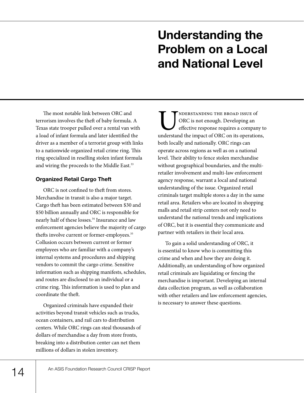## **Understanding the Problem on a Local and National Level**

The most notable link between ORC and terrorism involves the theft of baby formula. A Texas state trooper pulled over a rental van with a load of infant formula and later identified the driver as a member of a terrorist group with links to a nationwide organized retail crime ring. This ring specialized in reselling stolen infant formula and wiring the proceeds to the Middle East.<sup>33</sup>

#### **Organized Retail Cargo Theft**

ORC is not confined to theft from stores. Merchandise in transit is also a major target. Cargo theft has been estimated between \$30 and \$50 billion annually and ORC is responsible for nearly half of these losses.<sup>34</sup> Insurance and law enforcement agencies believe the majority of cargo thefts involve current or former-employees.<sup>35</sup> Collusion occurs between current or former employees who are familiar with a company's internal systems and procedures and shipping vendors to commit the cargo crime. Sensitive information such as shipping manifests, schedules, and routes are disclosed to an individual or a crime ring. This information is used to plan and coordinate the theft.

Organized criminals have expanded their activities beyond transit vehicles such as trucks, ocean containers, and rail cars to distribution centers. While ORC rings can steal thousands of dollars of merchandise a day from store fronts, breaking into a distribution center can net them millions of dollars in stolen inventory.

**UNDERSTANDING THE BROAD ISSUE Of**<br>
ORC is not enough. Developing an<br>
effective response requires a company to<br>
understand the impact of ORC on its operations, ORC is not enough. Developing an effective response requires a company to both locally and nationally. ORC rings can operate across regions as well as on a national level. Their ability to fence stolen merchandise without geographical boundaries, and the multiretailer involvement and multi-law enforcement agency response, warrant a local and national understanding of the issue. Organized retail criminals target multiple stores a day in the same retail area. Retailers who are located in shopping malls and retail strip centers not only need to understand the national trends and implications of ORC, but it is essential they communicate and partner with retailers in their local area.

To gain a solid understanding of ORC, it is essential to know who is committing this crime and when and how they are doing it. Additionally, an understanding of how organized retail criminals are liquidating or fencing the merchandise is important. Developing an internal data collection program, as well as collaboration with other retailers and law enforcement agencies, is necessary to answer these questions.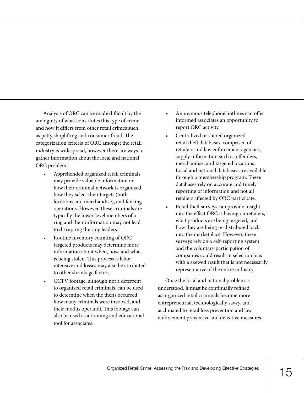Analysis of ORC can be made difficult by the ambiguity of what constitutes this type of crime and how it differs from other retail crimes such as petty shoplifting and consumer fraud. The categorization criteria of ORC amongst the retail industry is widespread, however there are ways to gather information about the local and national ORC problem:

- Apprehended organized retail criminals may provide valuable information on how their criminal network is organized, how they select their targets (both locations and merchandise), and fencing operations. However, these criminals are typically the lower-level members of a ring and their information may not lead to disrupting the ring leaders.
- Routine inventory counting of ORC targeted products may determine more information about when, how, and what is being stolen. This process is labor intensive and losses may also be attributed to other shrinkage factors.
- CCTV footage, although not a deterrent to organized retail criminals, can be used to determine when the thefts occurred, how many criminals were involved, and their modus operandi. This footage can also be used as a training and educational tool for associates.
- Anonymous telephone hotlines can offer informed associates an opportunity to report ORC activity.
- Centralized or shared organized retail theft databases, comprised of retailers and law enforcement agencies, supply information such as offenders, merchandise, and targeted locations. Local and national databases are available through a membership program. These databases rely on accurate and timely reporting of information and not all retailers affected by ORC participate.
- Retail theft surveys can provide insight into the effect ORC is having on retailers, what products are being targeted, and how they are being re-distributed back into the marketplace. However, these surveys rely on a self-reporting system and the voluntary participation of companies could result in selection bias with a skewed result that is not necessarily representative of the entire industry.

Once the local and national problem is understood, it must be continually refined as organized retail criminals become more entrepreneurial, technologically savvy, and acclimated to retail loss prevention and law enforcement preventive and detective measures.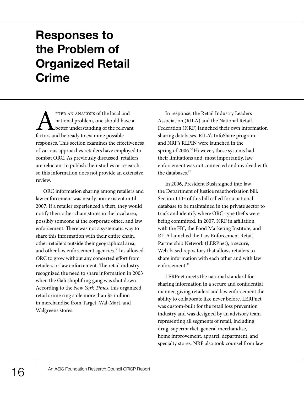### **Responses to the Problem of Organized Retail Crime**

FTER AN ANALYSIS of the local and<br>national problem, one should have<br>factors and be ready to examine possible national problem, one should have a better understanding of the relevant factors and be ready to examine possible responses. This section examines the effectiveness of various approaches retailers have employed to combat ORC. As previously discussed, retailers are reluctant to publish their studies or research, so this information does not provide an extensive review.

ORC information sharing among retailers and law enforcement was nearly non-existent until 2007. If a retailer experienced a theft, they would notify their other chain stores in the local area, possibly someone at the corporate office, and law enforcement. There was not a systematic way to share this information with their entire chain, other retailers outside their geographical area, and other law enforcement agencies. This allowed ORC to grow without any concerted effort from retailers or law enforcement. The retail industry recognized the need to share information in 2003 when the Gali shoplifting gang was shut down. According to the *New York Times*, this organized retail crime ring stole more than \$5 million in merchandise from Target, Wal-Mart, and Walgreens stores.

In response, the Retail Industry Leaders Association (RILA) and the National Retail Federation (NRF) launched their own information sharing databases. RILA's InfoShare program and NRF's RLPIN were launched in the spring of 2006.<sup>36</sup> However, these systems had their limitations and, most importantly, law enforcement was not connected and involved with the databases.<sup>37</sup>

In 2006, President Bush signed into law the Department of Justice reauthorization bill. Section 1105 of this bill called for a national database to be maintained in the private sector to track and identify where ORC-type thefts were being committed. In 2007, NRF in affiliation with the FBI, the Food Marketing Institute, and RILA launched the Law Enforcement Retail Partnership Network (LERPnet), a secure, Web-based repository that allows retailers to share information with each other and with law enforcement.<sup>38</sup>

LERPnet meets the national standard for sharing information in a secure and confidential manner, giving retailers and law enforcement the ability to collaborate like never before. LERPnet was custom-built for the retail loss prevention industry and was designed by an advisory team representing all segments of retail, including drug, supermarket, general merchandise, home improvement, apparel, department, and specialty stores. NRF also took counsel from law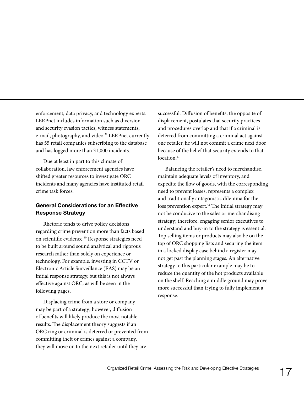enforcement, data privacy, and technology experts. LERPnet includes information such as diversion and security evasion tactics, witness statements, e-mail, photography, and video.<sup>39</sup> LERPnet currently has 55 retail companies subscribing to the database and has logged more than 31,000 incidents.

Due at least in part to this climate of collaboration, law enforcement agencies have shifted greater resources to investigate ORC incidents and many agencies have instituted retail crime task forces.

#### **General Considerations for an Effective Response Strategy**

Rhetoric tends to drive policy decisions regarding crime prevention more than facts based on scientific evidence.40 Response strategies need to be built around sound analytical and rigorous research rather than solely on experience or technology. For example, investing in CCTV or Electronic Article Surveillance (EAS) may be an initial response strategy, but this is not always effective against ORC, as will be seen in the following pages.

Displacing crime from a store or company may be part of a strategy; however, diffusion of benefits will likely produce the most notable results. The displacement theory suggests if an ORC ring or criminal is deterred or prevented from committing theft or crimes against a company, they will move on to the next retailer until they are

successful. Diffusion of benefits, the opposite of displacement, postulates that security practices and procedures overlap and that if a criminal is deterred from committing a criminal act against one retailer, he will not commit a crime next door because of the belief that security extends to that  $location<sup>41</sup>$ 

Balancing the retailer's need to merchandise, maintain adequate levels of inventory, and expedite the flow of goods, with the corresponding need to prevent losses, represents a complex and traditionally antagonistic dilemma for the loss prevention expert.<sup>42</sup> The initial strategy may not be conducive to the sales or merchandising strategy; therefore, engaging senior executives to understand and buy-in to the strategy is essential. Top selling items or products may also be on the top of ORC shopping lists and securing the item in a locked display case behind a register may not get past the planning stages. An alternative strategy to this particular example may be to reduce the quantity of the hot products available on the shelf. Reaching a middle ground may prove more successful than trying to fully implement a response.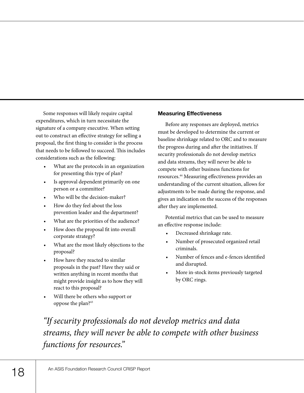Some responses will likely require capital expenditures, which in turn necessitate the signature of a company executive. When setting out to construct an effective strategy for selling a proposal, the first thing to consider is the process that needs to be followed to succeed. This includes considerations such as the following:

- What are the protocols in an organization for presenting this type of plan?
- Is approval dependent primarily on one person or a committee?
- Who will be the decision-maker?
- How do they feel about the loss prevention leader and the department?
- What are the priorities of the audience?
- How does the proposal fit into overall corporate strategy?
- What are the most likely objections to the proposal?
- How have they reacted to similar proposals in the past? Have they said or written anything in recent months that might provide insight as to how they will react to this proposal?
- Will there be others who support or oppose the plan?<sup>43</sup>

#### **Measuring Effectiveness**

Before any responses are deployed, metrics must be developed to determine the current or baseline shrinkage related to ORC and to measure the progress during and after the initiatives. If security professionals do not develop metrics and data streams, they will never be able to compete with other business functions for resources.44 Measuring effectiveness provides an understanding of the current situation, allows for adjustments to be made during the response, and gives an indication on the success of the responses after they are implemented.

Potential metrics that can be used to measure an effective response include:

- Decreased shrinkage rate.
- Number of prosecuted organized retail criminals.
- Number of fences and e-fences identified and disrupted.
- More in-stock items previously targeted by ORC rings.

*"If security professionals do not develop metrics and data streams, they will never be able to compete with other business functions for resources."*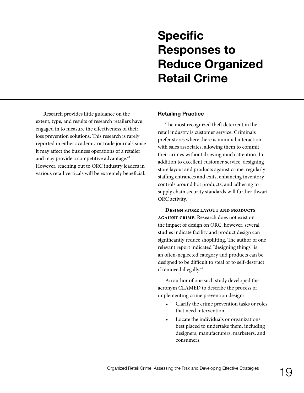## **Specific Responses to Reduce Organized Retail Crime**

Research provides little guidance on the extent, type, and results of research retailers have engaged in to measure the effectiveness of their loss prevention solutions. This research is rarely reported in either academic or trade journals since it may affect the business operations of a retailer and may provide a competitive advantage.<sup>45</sup> However, reaching out to ORC industry leaders in various retail verticals will be extremely beneficial.

#### **Retailing Practice**

The most recognized theft deterrent in the retail industry is customer service. Criminals prefer stores where there is minimal interaction with sales associates, allowing them to commit their crimes without drawing much attention. In addition to excellent customer service, designing store layout and products against crime, regularly staffing entrances and exits, enhancing inventory controls around hot products, and adhering to supply chain security standards will further thwart ORC activity.

**Design store layout and products against crime.** Research does not exist on the impact of design on ORC; however, several studies indicate facility and product design can significantly reduce shoplifting. The author of one relevant report indicated "designing things" is an often-neglected category and products can be designed to be difficult to steal or to self-destruct if removed illegally.<sup>46</sup>

An author of one such study developed the acronym CLAMED to describe the process of implementing crime prevention design:

- Clarify the crime prevention tasks or roles that need intervention.
- Locate the individuals or organizations best placed to undertake them, including designers, manufacturers, marketers, and consumers.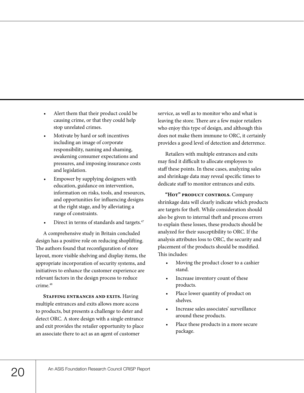- Alert them that their product could be causing crime, or that they could help stop unrelated crimes.
- Motivate by hard or soft incentives including an image of corporate responsibility, naming and shaming, awakening consumer expectations and pressures, and imposing insurance costs and legislation.
- Empower by supplying designers with education, guidance on intervention, information on risks, tools, and resources, and opportunities for influencing designs at the right stage, and by alleviating a range of constraints.
- Direct in terms of standards and targets.<sup>47</sup>

A comprehensive study in Britain concluded design has a positive role on reducing shoplifting. The authors found that reconfiguration of store layout, more visible shelving and display items, the appropriate incorporation of security systems, and initiatives to enhance the customer experience are relevant factors in the design process to reduce crime.<sup>48</sup>

**STAFFING ENTRANCES AND EXITS.** Having multiple entrances and exits allows more access to products, but presents a challenge to deter and detect ORC. A store design with a single entrance and exit provides the retailer opportunity to place an associate there to act as an agent of customer

service, as well as to monitor who and what is leaving the store. There are a few major retailers who enjoy this type of design, and although this does not make them immune to ORC, it certainly provides a good level of detection and deterrence.

Retailers with multiple entrances and exits may find it difficult to allocate employees to staff these points. In these cases, analyzing sales and shrinkage data may reveal specific times to dedicate staff to monitor entrances and exits.

**"Hot" product controls.** Company shrinkage data will clearly indicate which products are targets for theft. While consideration should also be given to internal theft and process errors to explain these losses, these products should be analyzed for their susceptibility to ORC. If the analysis attributes loss to ORC, the security and placement of the products should be modified. This includes:

- Moving the product closer to a cashier stand.
- Increase inventory count of these products.
- Place lower quantity of product on shelves.
- Increase sales associates' surveillance around these products.
- Place these products in a more secure package.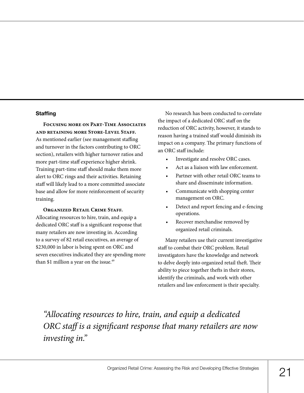#### **Staffing**

**Focusing more on Part-Time Associates and retaining more Store-Level Staff.** As mentioned earlier (see management staffing and turnover in the factors contributing to ORC section), retailers with higher turnover ratios and more part-time staff experience higher shrink. Training part-time staff should make them more alert to ORC rings and their activities. Retaining staff will likely lead to a more committed associate base and allow for more reinforcement of security training.

#### **ORGANIZED RETAIL CRIME STAFF.**

Allocating resources to hire, train, and equip a dedicated ORC staff is a significant response that many retailers are now investing in. According to a survey of 82 retail executives, an average of \$230,000 in labor is being spent on ORC and seven executives indicated they are spending more than \$1 million a year on the issue.<sup>49</sup>

No research has been conducted to correlate the impact of a dedicated ORC staff on the reduction of ORC activity, however, it stands to reason having a trained staff would diminish its impact on a company. The primary functions of an ORC staff include:

- Investigate and resolve ORC cases.
- Act as a liaison with law enforcement.
- Partner with other retail ORC teams to share and disseminate information.
- • Communicate with shopping center management on ORC.
- Detect and report fencing and e-fencing operations.
- Recover merchandise removed by organized retail criminals.

Many retailers use their current investigative staff to combat their ORC problem. Retail investigators have the knowledge and network to delve deeply into organized retail theft. Their ability to piece together thefts in their stores, identify the criminals, and work with other retailers and law enforcement is their specialty.

*"Allocating resources to hire, train, and equip a dedicated ORC staff is a significant response that many retailers are now investing in."*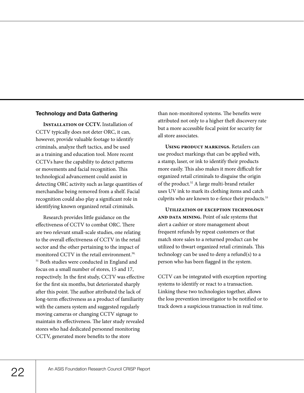#### **Technology and Data Gathering**

**Installation of CCTV.** Installation of CCTV typically does not deter ORC, it can, however, provide valuable footage to identify criminals, analyze theft tactics, and be used as a training and education tool. More recent CCTVs have the capability to detect patterns or movements and facial recognition. This technological advancement could assist in detecting ORC activity such as large quantities of merchandise being removed from a shelf. Facial recognition could also play a significant role in identifying known organized retail criminals.

Research provides little guidance on the effectiveness of CCTV to combat ORC. There are two relevant small-scale studies, one relating to the overall effectiveness of CCTV in the retail sector and the other pertaining to the impact of monitored CCTV in the retail environment.<sup>50,</sup> <sup>51</sup> Both studies were conducted in England and focus on a small number of stores, 15 and 17, respectively. In the first study, CCTV was effective for the first six months, but deteriorated sharply after this point. The author attributed the lack of long-term effectiveness as a product of familiarity with the camera system and suggested regularly moving cameras or changing CCTV signage to maintain its effectiveness. The later study revealed stores who had dedicated personnel monitoring CCTV, generated more benefits to the store

than non-monitored systems. The benefits were attributed not only to a higher theft discovery rate but a more accessible focal point for security for all store associates.

**Using product markings.** Retailers can use product markings that can be applied with, a stamp, laser, or ink to identify their products more easily. This also makes it more difficult for organized retail criminals to disguise the origin of the product.<sup>52</sup> A large multi-brand retailer uses UV ink to mark its clothing items and catch culprits who are known to e-fence their products.<sup>53</sup>

**Utilization of exception technology and data mining.** Point of sale systems that alert a cashier or store management about frequent refunds by repeat customers or that match store sales to a returned product can be utilized to thwart organized retail criminals. This technology can be used to deny a refund(s) to a person who has been flagged in the system.

CCTV can be integrated with exception reporting systems to identify or react to a transaction. Linking these two technologies together, allows the loss prevention investigator to be notified or to track down a suspicious transaction in real time.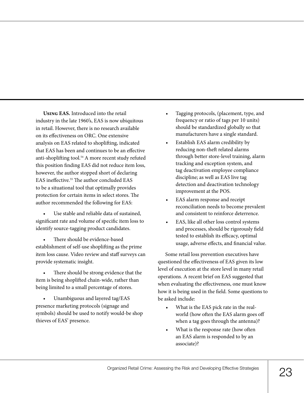**Using EAS.** Introduced into the retail industry in the late 1960's, EAS is now ubiquitous in retail. However, there is no research available on its effectiveness on ORC. One extensive analysis on EAS related to shoplifting, indicated that EAS has been and continues to be an effective anti-shoplifting tool.<sup>54</sup> A more recent study refuted this position finding EAS did not reduce item loss, however, the author stopped short of declaring EAS ineffective.<sup>55</sup> The author concluded EAS to be a situational tool that optimally provides protection for certain items in select stores. The author recommended the following for EAS:

Use stable and reliable data of sustained, significant rate and volume of specific item loss to identify source-tagging product candidates.

There should be evidence-based establishment of self-use shoplifting as the prime item loss cause. Video review and staff surveys can provide systematic insight.

There should be strong evidence that the item is being shoplifted chain-wide, rather than being limited to a small percentage of stores.

Unambiguous and layered tag/EAS presence marketing protocols (signage and symbols) should be used to notify would-be shop thieves of EAS' presence.

- Tagging protocols, (placement, type, and frequency or ratio of tags per 10 units) should be standardized globally so that manufacturers have a single standard.
- Establish EAS alarm credibility by reducing non-theft related alarms through better store-level training, alarm tracking and exception system, and tag deactivation employee compliance discipline; as well as EAS live tag detection and deactivation technology improvement at the POS.
- EAS alarm response and receipt reconciliation needs to become prevalent and consistent to reinforce deterrence.
- EAS, like all other loss control systems and processes, should be rigorously field tested to establish its efficacy, optimal usage, adverse effects, and financial value.

Some retail loss prevention executives have questioned the effectiveness of EAS given its low level of execution at the store level in many retail operations. A recent brief on EAS suggested that when evaluating the effectiveness, one must know how it is being used in the field. Some questions to be asked include:

- What is the EAS pick rate in the realworld (how often the EAS alarm goes off when a tag goes through the antenna)?
- What is the response rate (how often an EAS alarm is responded to by an associate)?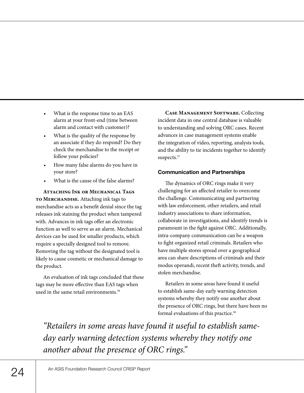- What is the response time to an EAS alarm at your front-end (time between alarm and contact with customer)?
- What is the quality of the response by an associate if they do respond? Do they check the merchandise to the receipt or follow your policies?
- How many false alarms do you have in your store?
- What is the cause of the false alarms?

**Attaching Ink or Mechanical Tags to Merchandise.** Attaching ink tags to merchandise acts as a benefit denial since the tag releases ink staining the product when tampered with. Advances in ink tags offer an electronic function as well to serve as an alarm. Mechanical devices can be used for smaller products, which require a specially designed tool to remove. Removing the tag without the designated tool is likely to cause cosmetic or mechanical damage to the product.

An evaluation of ink tags concluded that these tags may be more effective than EAS tags when used in the same retail environments.<sup>56</sup>

**Case Management Software.** Collecting incident data in one central database is valuable to understanding and solving ORC cases. Recent advances in case management systems enable the integration of video, reporting, analysis tools, and the ability to tie incidents together to identify suspects.<sup>57</sup>

#### **Communication and Partnerships**

The dynamics of ORC rings make it very challenging for an affected retailer to overcome the challenge. Communicating and partnering with law enforcement, other retailers, and retail industry associations to share information, collaborate in investigations, and identify trends is paramount in the fight against ORC. Additionally, intra-company communication can be a weapon to fight organized retail criminals. Retailers who have multiple stores spread over a geographical area can share descriptions of criminals and their modus operandi, recent theft activity, trends, and stolen merchandise.

Retailers in some areas have found it useful to establish same-day early warning detection systems whereby they notify one another about the presence of ORC rings, but there have been no formal evaluations of this practice.<sup>58</sup>

*"Retailers in some areas have found it useful to establish sameday early warning detection systems whereby they notify one another about the presence of ORC rings."*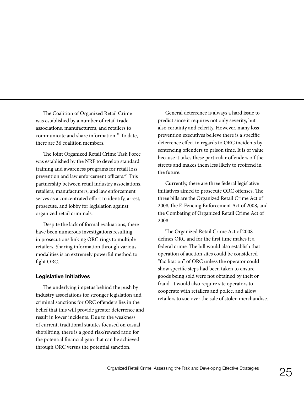The Coalition of Organized Retail Crime was established by a number of retail trade associations, manufacturers, and retailers to communicate and share information.<sup>59</sup> To date, there are 36 coalition members.

The Joint Organized Retail Crime Task Force was established by the NRF to develop standard training and awareness programs for retail loss prevention and law enforcement officers.<sup>60</sup> This partnership between retail industry associations, retailers, manufacturers, and law enforcement serves as a concentrated effort to identify, arrest, prosecute, and lobby for legislation against organized retail criminals.

Despite the lack of formal evaluations, there have been numerous investigations resulting in prosecutions linking ORC rings to multiple retailers. Sharing information through various modalities is an extremely powerful method to fight ORC.

#### **Legislative Initiatives**

The underlying impetus behind the push by industry associations for stronger legislation and criminal sanctions for ORC offenders lies in the belief that this will provide greater deterrence and result in lower incidents. Due to the weakness of current, traditional statutes focused on casual shoplifting, there is a good risk/reward ratio for the potential financial gain that can be achieved through ORC versus the potential sanction.

General deterrence is always a hard issue to predict since it requires not only severity, but also certainty and celerity. However, many loss prevention executives believe there is a specific deterrence effect in regards to ORC incidents by sentencing offenders to prison time. It is of value because it takes these particular offenders off the streets and makes them less likely to reoffend in the future.

Currently, there are three federal legislative initiatives aimed to prosecute ORC offenses. The three bills are the Organized Retail Crime Act of 2008, the E-Fencing Enforcement Act of 2008, and the Combating of Organized Retail Crime Act of 2008.

The Organized Retail Crime Act of 2008 defines ORC and for the first time makes it a federal crime. The bill would also establish that operation of auction sites could be considered "facilitation" of ORC unless the operator could show specific steps had been taken to ensure goods being sold were not obtained by theft or fraud. It would also require site operators to cooperate with retailers and police, and allow retailers to sue over the sale of stolen merchandise.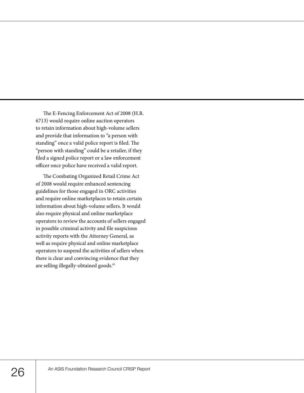The E-Fencing Enforcement Act of 2008 (H.R. 6713) would require online auction operators to retain information about high-volume sellers and provide that information to "a person with standing" once a valid police report is filed. The "person with standing" could be a retailer, if they filed a signed police report or a law enforcement officer once police have received a valid report.

The Combating Organized Retail Crime Act of 2008 would require enhanced sentencing guidelines for those engaged in ORC activities and require online marketplaces to retain certain information about high-volume sellers. It would also require physical and online marketplace operators to review the accounts of sellers engaged in possible criminal activity and file suspicious activity reports with the Attorney General, as well as require physical and online marketplace operators to suspend the activities of sellers when there is clear and convincing evidence that they are selling illegally-obtained goods.<sup>61</sup>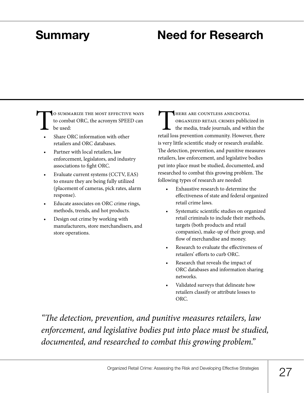## **Summary**

## **Need for Research**

TO SUMMARIZE THE MOST EFFECTIVE WAYS<br>to combat ORC, the acronym SPEED can<br>be used:<br>Share ORC information with other to combat ORC, the acronym SPEED can be used:

- Share ORC information with other retailers and ORC databases.
- Partner with local retailers, law enforcement, legislators, and industry associations to fight ORC.
- Evaluate current systems (CCTV, EAS) to ensure they are being fully utilized (placement of cameras, pick rates, alarm response).
- Educate associates on ORC crime rings, methods, trends, and hot products.
- Design out crime by working with manufacturers, store merchandisers, and store operations.

THERE ARE COUNTLESS ANECDOTAL<br>
ORGANIZED RETAIL CRIMES publicized in<br>
the media, trade journals, and within the<br>
retail loss prevention community. However, there organized retail crimes publicized in the media, trade journals, and within the is very little scientific study or research available. The detection, prevention, and punitive measures retailers, law enforcement, and legislative bodies put into place must be studied, documented, and researched to combat this growing problem. The following types of research are needed:

- Exhaustive research to determine the effectiveness of state and federal organized retail crime laws.
- Systematic scientific studies on organized retail criminals to include their methods, targets (both products and retail companies), make-up of their group, and flow of merchandise and money.
- Research to evaluate the effectiveness of retailers' efforts to curb ORC.
- Research that reveals the impact of ORC databases and information sharing networks.
- Validated surveys that delineate how retailers classify or attribute losses to ORC.

*"The detection, prevention, and punitive measures retailers, law enforcement, and legislative bodies put into place must be studied, documented, and researched to combat this growing problem."*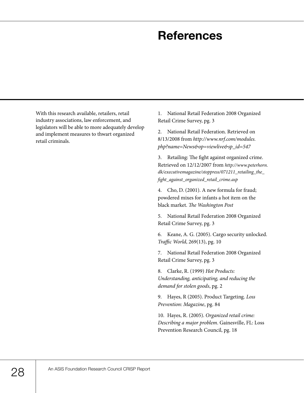### **References**

With this research available, retailers, retail industry associations, law enforcement, and legislators will be able to more adequately develop and implement measures to thwart organized retail criminals.

1. National Retail Federation 2008 Organized Retail Crime Survey, pg. 3

2. National Retail Federation. Retrieved on 8/13/2008 from *http://www.nrf.com/modules. php?name=News&op=viewlive&sp\_id=547*

3. Retailing: The fight against organized crime. Retrieved on 12/12/2007 from *http://www.peterhorn. dk/executivemagazine/stoppress/071211\_retailing\_the\_ fight\_against\_organized\_retail\_crime.asp*

4. Cho, D. (2001). A new formula for fraud; powdered mixes for infants a hot item on the black market. *The Washington Post*

5. National Retail Federation 2008 Organized Retail Crime Survey, pg. 3

6. Keane, A. G. (2005). Cargo security unlocked. *Traffic World*, 269(13), pg. 10

7. National Retail Federation 2008 Organized Retail Crime Survey, pg. 3

8. Clarke, R. (1999) *Hot Products: Understanding, anticipating, and reducing the demand for stolen goods*, pg. 2

9. Hayes, R (2005). Product Targeting. *Loss Prevention: Magazine*, pg. 84

10. Hayes, R. (2005). *Organized retail crime: Describing a major problem*. Gainesville, FL: Loss Prevention Research Council, pg. 18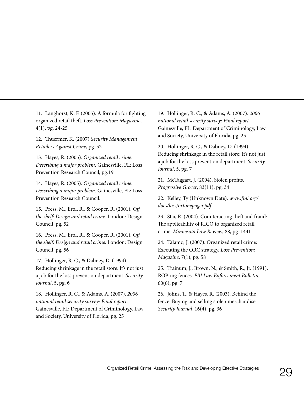11. Langhorst, K. F. (2005). A formula for fighting organized retail theft. *Loss Prevention: Magazine*, 4(1), pg. 24-25

12. Thuermer, K. (2007) *Security Management Retailers Against Crime*, pg. 52

13. Hayes, R. (2005). *Organized retail crime: Describing a major problem*. Gainesville, FL: Loss Prevention Research Council, pg.19

14. Hayes, R. (2005). *Organized retail crime: Describing a major problem*. Gainesville, FL: Loss Prevention Research Council.

15. Press, M., Erol, R., & Cooper, R. (2001). *Off the shelf: Design and retail crime*. London: Design Council, pg. 52

16. Press, M., Erol, R., & Cooper, R. (2001). *Off the shelf: Design and retail crime*. London: Design Council, pg. 56

17. Hollinger, R. C., & Dabney, D. (1994). Reducing shrinkage in the retail store: It's not just a job for the loss prevention department. *Security Journal*, 5, pg. 6

18. Hollinger, R. C., & Adams, A. (2007). *2006 national retail security survey: Final report*. Gainesville, FL: Department of Criminology, Law and Society, University of Florida, pg. 25

19. Hollinger, R. C., & Adams, A. (2007). *2006 national retail security survey: Final report.*  Gainesville, FL: Department of Criminology, Law and Society, University of Florida, pg. 25

20. Hollinger, R. C., & Dabney, D. (1994). Reducing shrinkage in the retail store: It's not just a job for the loss prevention department. *Security Journal*, 5, pg. 7

21. McTaggart, J. (2004). Stolen profits. *Progressive Grocer*, 83(11), pg. 34

22. Kelley, Ty (Unknown Date). *www.fmi.org/ docs/loss/ortonepager.pdf*

23. Stai, R. (2004). Counteracting theft and fraud: The applicability of RICO to organized retail crime. *Minnesota Law Review*, 88, pg. 1441

24. Talamo, J. (2007). Organized retail crime: Executing the ORC strategy. *Loss Prevention: Magazine*, 7(1), pg. 58

25. Trainum, J., Brown, N., & Smith, R., Jr. (1991). ROP-ing fences. *FBI Law Enforcement Bulletin*, 60(6), pg. 7

26. Johns, T., & Hayes, R. (2003). Behind the fence: Buying and selling stolen merchandise. *Security Journal*, 16(4), pg. 36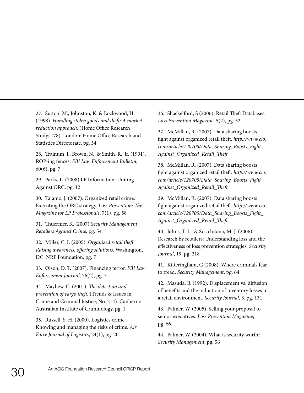27. Sutton, M., Johnston, K. & Lockwood, H. (1998). *Handling stolen goods and theft: A market reduction approach.* (Home Office Research Study; 178). London: Home Office Research and Statistics Directorate, pg. 34

28. Trainum, J., Brown, N., & Smith, R., Jr. (1991). ROP-ing fences. *FBI Law Enforcement Bulletin*, 60(6), pg. 7

29. Parks, L. (2008) LP Information: Uniting Against ORC, pg. 12

30. Talamo, J. (2007). Organized retail crime: Executing the ORC strategy. *Loss Prevention: The Magazine for LP Professionals*, 7(1), pg. 58

31. Thuermer, K. (2007) *Security Management Retailers Against Crime*, pg. 54

32. Miller, C. I. (2005). *Organized retail theft: Raising awareness, offering solutions*. Washington, DC: NRF Foundation, pg. 7

33. Olson, D. T. (2007). Financing terror. *FBI Law Enforcement Journal*, 76(2), pg. 3

34. Mayhew, C. (2001). *The detection and prevention of cargo theft.* (Trends & Issues in Crime and Criminal Justice; No. 214). Canberra: Australian Institute of Criminology, pg. 1

35. Russell, S. H. (2000). Logistics crime: Knowing and managing the risks of crime. *Air Force Journal of Logistics*, 24(1), pg. 20

36. Shackelford, S (2006). Retail Theft Databases. *Loss Prevention Magazine*, 5(2), pg. 52

37. McMillan, R. (2007). Data sharing boosts fight against organized retail theft. *http://www.cio. com/article/120705/Data\_Sharing\_Boosts\_Fight\_ Against\_Organized\_Retail\_Theft*

38. McMillan, R. (2007). Data sharing boosts fight against organized retail theft. *http://www.cio. com/article/120705/Data\_Sharing\_Boosts\_Fight\_ Against\_Organized\_Retail\_Theft*

39. McMillan, R. (2007). Data sharing boosts fight against organized retail theft. *http://www.cio. com/article/120705/Data\_Sharing\_Boosts\_Fight\_ Against\_Organized\_Retail\_Theft*

40. Johns, T. L., & Scicchitano, M. J. (2006). Research by retailers: Understanding loss and the effectiveness of loss prevention strategies. *Security Journal*, 19, pg. 218

41. Kitteringham, G (2008). Where criminals fear to tread. *Security Management*, pg. 64

42. Masuda, B. (1992). Displacement vs. diffusion of benefits and the reduction of inventory losses in a retail environment. *Security Journal,* 3, pg. 131

43. Palmer, W. (2005). Selling your proposal to senior executives. *Loss Prevention Magazine*, pg. 66

44. Palmer, W. (2004). What is security worth? *Security Management*, pg. 56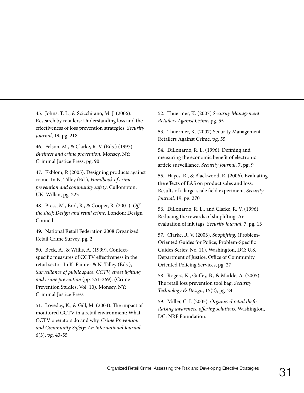45. Johns, T. L., & Scicchitano, M. J. (2006). Research by retailers: Understanding loss and the effectiveness of loss prevention strategies. *Security Journal*, 19, pg. 218

46. Felson, M., & Clarke, R. V. (Eds.) (1997). *Business and crime prevention*. Monsey, NY: Criminal Justice Press, pg. 90

47. Ekblom, P. (2005). Designing products against crime. In N. Tilley (Ed.), *Handbook of crime prevention and community safety*. Cullompton, UK: Willan, pg. 223

48. Press, M., Erol, R., & Cooper, R. (2001). *Off the shelf: Design and retail crime*. London: Design Council.

49. National Retail Federation 2008 Organized Retail Crime Survey, pg. 2

50. Beck, A., & Willis, A. (1999). Contextspecific measures of CCTV effectiveness in the retail sector. In K. Painter & N. Tilley (Eds.), *Surveillance of public space: CCTV, street lighting and crime prevention* (pp. 251-269). (Crime Prevention Studies; Vol. 10). Monsey, NY: Criminal Justice Press

51. Loveday, K., & Gill, M. (2004). The impact of monitored CCTV in a retail environment: What CCTV operators do and why. *Crime Prevention and Community Safety: An International Journal*, 6(3), pg. 43-55

52. Thuermer, K. (2007) *Security Management Retailers Against Crime*, pg. 55

53. Thuermer, K. (2007) Security Management Retailers Against Crime, pg. 55

54. DiLonardo, R. L. (1996). Defining and measuring the economic benefit of electronic article surveillance. *Security Journal*, 7, pg. 9

55. Hayes, R., & Blackwood, R. (2006). Evaluating the effects of EAS on product sales and loss: Results of a large-scale field experiment. *Security Journal*, 19, pg. 270

56. DiLonardo, R. L., and Clarke, R. V. (1996). Reducing the rewards of shoplifting: An evaluation of ink tags. *Security Journal,* 7, pg. 13

57. Clarke, R. V. (2003). *Shoplifting*. (Problem-Oriented Guides for Police; Problem-Specific Guides Series; No. 11). Washington, DC: U.S. Department of Justice, Office of Community Oriented Policing Services, pg. 27

58. Rogers, K., Guffey, B., & Markle, A. (2005). The retail loss prevention tool bag. *Security Technology & Design*, 15(2), pg. 24

59. Miller, C. I. (2005). *Organized retail theft: Raising awareness, offering solutions.* Washington, DC: NRF Foundation.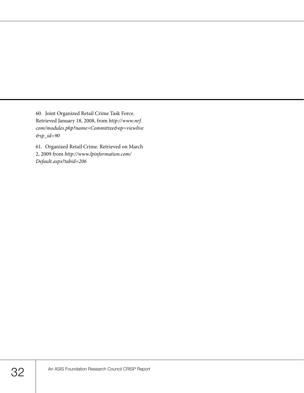60. Joint Organized Retail Crime Task Force. Retrieved January 18, 2008, from *http://www.nrf. com/modules.php?name=Committee&op=viewlive &sp\_id=90*

61. Organized Retail Crime. Retrieved on March 2, 2009 from *http://www.lpinformation.com/ Default.aspx?tabid=206*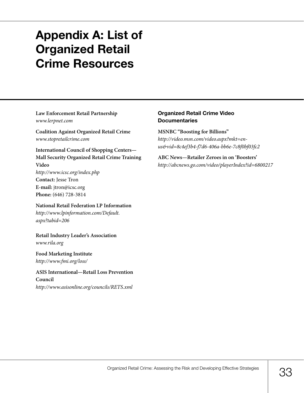### **Appendix A: List of Organized Retail Crime Resources**

**Law Enforcement Retail Partnership** *www.lerpnet.com*

**Coalition Against Organized Retail Crime** *www.stopretailcrime.com*

**International Council of Shopping Centers— Mall Security Organized Retail Crime Training Video**  *http://www.icsc.org/index.php* **Contact:** Jesse Tron **E-mail:** jtron@icsc.org **Phone:** (646) 728-3814

**National Retail Federation LP Information** *http://www.lpinformation.com/Default. aspx?tabid=206*

**Retail Industry Leader's Association** *www.rila.org*

**Food Marketing Institute** *http://www.fmi.org/loss/*

**ASIS International—Retail Loss Prevention Council** *http://www.asisonline.org/councils/RETS.xml*

#### **Organized Retail Crime Video Documentaries**

**MSNBC "Boosting for Billions"** *http://video.msn.com/video.aspx?mkt=en-*

*us&vid=8c4ef3b4-f7d6-406a-bb6e-7c8f0bf03fc2*

**ABC News—Retailer Zeroes in on 'Boosters'** *http://abcnews.go.com/video/playerIndex?id=6800217*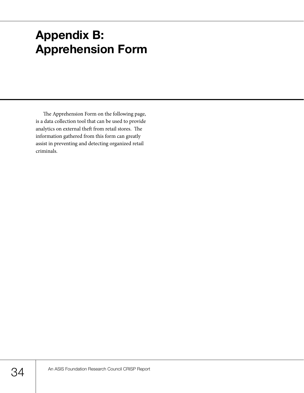### **Appendix B: Apprehension Form**

The Apprehension Form on the following page, is a data collection tool that can be used to provide analytics on external theft from retail stores. The information gathered from this form can greatly assist in preventing and detecting organized retail criminals.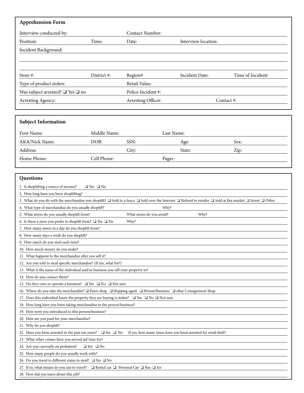| <b>Apprehension Form</b>                                                                                                                                    |                      |                                   |                     |                   |  |  |  |  |
|-------------------------------------------------------------------------------------------------------------------------------------------------------------|----------------------|-----------------------------------|---------------------|-------------------|--|--|--|--|
| Interview conducted by:                                                                                                                                     |                      | Contact Number:                   |                     |                   |  |  |  |  |
| Position:                                                                                                                                                   | Time:                | Date:                             | Interview location: |                   |  |  |  |  |
| Incident Background:                                                                                                                                        |                      |                                   |                     |                   |  |  |  |  |
|                                                                                                                                                             |                      |                                   |                     |                   |  |  |  |  |
|                                                                                                                                                             |                      |                                   |                     |                   |  |  |  |  |
| Store #:                                                                                                                                                    | District #:          | Region#                           | Incident Date:      | Time of Incident: |  |  |  |  |
| Type of product stolen:                                                                                                                                     |                      | Retail Value:                     |                     |                   |  |  |  |  |
| Was subject arrested? $\Box$ Yes $\Box$ no                                                                                                                  |                      | Police Incident #:                |                     |                   |  |  |  |  |
| Arresting Agency:                                                                                                                                           |                      | Arresting Officer:                |                     | Contact #:        |  |  |  |  |
|                                                                                                                                                             |                      |                                   |                     |                   |  |  |  |  |
|                                                                                                                                                             |                      |                                   |                     |                   |  |  |  |  |
| <b>Subject Information</b>                                                                                                                                  |                      |                                   |                     |                   |  |  |  |  |
| First Name:                                                                                                                                                 | Middle Name:         |                                   | Last Name:          |                   |  |  |  |  |
| AKA/Nick Name:                                                                                                                                              | DOB:                 | SSN:                              | Age:                | Sex:              |  |  |  |  |
| Address:                                                                                                                                                    |                      | City:                             | State:              | Zip:              |  |  |  |  |
| Home Phone:                                                                                                                                                 | Cell Phone:          |                                   | Pager:              |                   |  |  |  |  |
|                                                                                                                                                             |                      |                                   |                     |                   |  |  |  |  |
|                                                                                                                                                             |                      |                                   |                     |                   |  |  |  |  |
| Questions                                                                                                                                                   |                      |                                   |                     |                   |  |  |  |  |
| 1. Is shoplifting a source of income?                                                                                                                       | $\Box$ Yes $\Box$ No |                                   |                     |                   |  |  |  |  |
| 2. How long have you been shoplifting?                                                                                                                      |                      |                                   |                     |                   |  |  |  |  |
| 3. What do you do with the merchandise you shoplift? □ Sold to a fence □ Sold over the Internet □ Refund to retailer □ Sold at flea market □ Street □ Other |                      |                                   |                     |                   |  |  |  |  |
| 4. What type of merchandise do you usually shoplift?<br>Why?<br>5. What stores do you usually shoplift from?                                                |                      |                                   |                     |                   |  |  |  |  |
| 6. Is there a store you prefer to shoplift from? $\Box$ Yes $\Box$ No                                                                                       |                      | What stores do you avoid?<br>Why? | Why?                |                   |  |  |  |  |
| 7. How many stores in a day do you shoplift from?                                                                                                           |                      |                                   |                     |                   |  |  |  |  |
| 8. How many days a week do you shoplift?                                                                                                                    |                      |                                   |                     |                   |  |  |  |  |
| 9. How much do you steal each time?                                                                                                                         |                      |                                   |                     |                   |  |  |  |  |
| 10. How much money do you make?                                                                                                                             |                      |                                   |                     |                   |  |  |  |  |
| 11. What happens to the merchandise after you sell it?                                                                                                      |                      |                                   |                     |                   |  |  |  |  |
| 12. Are you told to steal specific merchandise? (If yes, what for?)                                                                                         |                      |                                   |                     |                   |  |  |  |  |
| 13. What is the name of the individual and/or business you sell your property to?                                                                           |                      |                                   |                     |                   |  |  |  |  |
| 14. How do you contact them?                                                                                                                                |                      |                                   |                     |                   |  |  |  |  |
| 15. Do they own or operate a business? $\Box$ Yes $\Box$ No $\Box$ Not sure                                                                                 |                      |                                   |                     |                   |  |  |  |  |
| 16. Where do you take the merchandise? □ Pawn shop □ Shipping agent □ Person/Business □ eBay Consignment Shop                                               |                      |                                   |                     |                   |  |  |  |  |
| 17. Does this individual know the property they are buying is stolen? $\Box$ Yes $\Box$ No $\Box$ Not sure                                                  |                      |                                   |                     |                   |  |  |  |  |
| 18. How long have you been taking merchandise to the person/business?<br>19. How were you introduced to this person/business?                               |                      |                                   |                     |                   |  |  |  |  |
| 20. How are you paid for your merchandise?                                                                                                                  |                      |                                   |                     |                   |  |  |  |  |
| 21. Why do you shoplift?                                                                                                                                    |                      |                                   |                     |                   |  |  |  |  |
| 22. Have you been arrested in the past ten years?<br>$\Box$ Yes $\Box$ No<br>If yes, how many times have you been arrested for retail theft?                |                      |                                   |                     |                   |  |  |  |  |
| 23. What other crimes have you served jail time for?                                                                                                        |                      |                                   |                     |                   |  |  |  |  |
| 24. Are you currently on probation?<br>$\Box$ Yes $\Box$ No                                                                                                 |                      |                                   |                     |                   |  |  |  |  |
| 25. How many people do you usually work with?                                                                                                               |                      |                                   |                     |                   |  |  |  |  |
| 26. Do you travel to different states to steal? $\Box$ Yes $\Box$ No                                                                                        |                      |                                   |                     |                   |  |  |  |  |
| 27. If so, what means do you use to travel? $\Box$ Rental car $\Box$ Personal Car $\Box$ Bus $\Box$ Air                                                     |                      |                                   |                     |                   |  |  |  |  |
| 28. How did you learn about this job?                                                                                                                       |                      |                                   |                     |                   |  |  |  |  |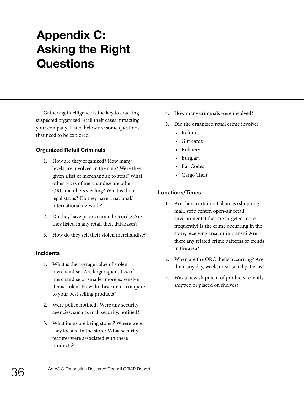## **Appendix C: Asking the Right Questions**

Gathering intelligence is the key to cracking suspected organized retail theft cases impacting your company. Listed below are some questions that need to be explored.

#### **Organized Retail Criminals**

- 1. How are they organized? How many levels are involved in the ring? Were they given a list of merchandise to steal? What other types of merchandise are other ORC members stealing? What is their legal status? Do they have a national/ international network?
- 2. Do they have prior criminal records? Are they listed in any retail theft databases?
- 3. How do they sell their stolen merchandise?

#### **Incidents**

- 1. What is the average value of stolen merchandise? Are larger quantities of merchandise or smaller more expensive items stolen? How do these items compare to your best selling products?
- 2. Were police notified? Were any security agencies, such as mall security, notified?
- 3. What items are being stolen? Where were they located in the store? What security features were associated with these products?
- 4. How many criminals were involved?
- 5. Did the organized retail crime involve:
	- Refunds
	- Gift cards
	- Robbery
	- **Burglary**
	- Bar Codes
	- Cargo Theft

#### **Locations/Times**

- 1. Are there certain retail areas (shopping mall, strip center, open-air retail environments) that are targeted more frequently? Is the crime occurring in the store, receiving area, or in transit? Are there any related crime patterns or trends in the area?
- 2. When are the ORC thefts occurring? Are there any day, week, or seasonal patterns?
- 3. Was a new shipment of products recently shipped or placed on shelves?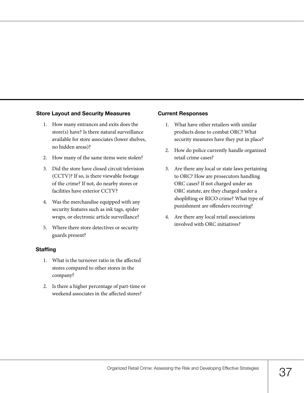#### **Store Layout and Security Measures**

- 1. How many entrances and exits does the store(s) have? Is there natural surveillance available for store associates (lower shelves, no hidden areas)?
- 2. How many of the same items were stolen?
- 3. Did the store have closed circuit television (CCTV)? If so, is there viewable footage of the crime? If not, do nearby stores or facilities have exterior CCTV?
- 4. Was the merchandise equipped with any security features such as ink tags, spider wraps, or electronic article surveillance?
- 5. Where there store detectives or security guards present?

#### **Staffing**

- 1. What is the turnover ratio in the affected stores compared to other stores in the company?
- 2. Is there a higher percentage of part-time or weekend associates in the affected stores?

#### **Current Responses**

- 1. What have other retailers with similar products done to combat ORC? What security measures have they put in place?
- 2. How do police currently handle organized retail crime cases?
- 3. Are there any local or state laws pertaining to ORC? How are prosecutors handling ORC cases? If not charged under an ORC statute, are they charged under a shoplifting or RICO crime? What type of punishment are offenders receiving?
- 4. Are there any local retail associations involved with ORC initiatives?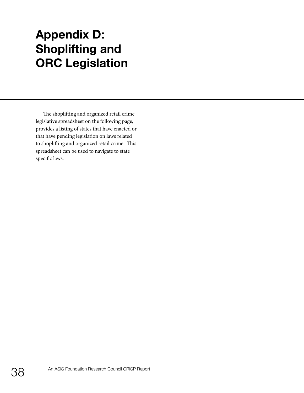## **Appendix D: Shoplifting and ORC Legislation**

The shoplifting and organized retail crime legislative spreadsheet on the following page, provides a listing of states that have enacted or that have pending legislation on laws related to shoplifting and organized retail crime. This spreadsheet can be used to navigate to state specific laws.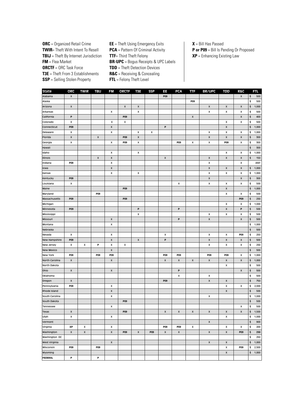- **ORCTF** = ORC Task Force **TDD** = Theft Detection Devices **T3E** = Theft From 3 Establishments **R&C** = Receiving & Concealing **SSP** = Selling Stolen Property **FTL** = Felony Theft Level
- **ORC** = Organized Retail Crime **EE** = Theft Using Emergency Exits **X** = Bill Has Passed **TWIR**= Theft With Intent To Resell **PCA** = Pattern Of Criminal Activity **Por P09** = Bill Is Pending Or Proposed **TBIJ** = Theft By Internet Jurisdiction **TTF**= Third Theft Felony **XP** = Enhancing Existing Law **FM** = Flea Market **BR-UPC** = Bogus Receipts & UPC Labels

| X<br>P09<br>500<br>X<br>\$<br>\$<br>P09<br>500<br>$\pmb{\mathsf{x}}$<br>X<br>$\pmb{\mathsf{X}}$<br>\$<br>X<br>X<br>X<br>1,000<br>x<br>X<br>\$<br>х<br>х<br>х<br>500<br>P<br>X<br>\$<br>P <sub>09</sub><br>X<br>400<br>\$<br>х<br>х<br>x<br>х<br>x<br>500<br>$\pmb{\mathsf{X}}$<br>\$<br>P<br>$\pmb{\mathsf{x}}$<br>P09<br>1,000<br>X<br>\$<br>x<br>х<br>х<br>х<br>1,000<br>х<br>х<br>$\pmb{\mathsf{x}}$<br>X<br>X<br>P09<br>X<br>$\pmb{\mathsf{x}}$<br>X<br>\$<br>300<br>x<br>P09<br>x<br>X<br>P09<br>x<br>\$<br>300<br>х<br>х<br>P09<br>\$<br>300<br>x<br>\$<br>х<br>х<br>x<br>1,000<br>X<br>\$<br>X<br>X<br>X<br>X<br>X<br>150<br>P09<br>х<br>x<br>x<br>ANY<br>X<br>X<br>X<br>X<br>\$<br>1,000<br>\$<br>х<br>х<br>х<br>х<br>x<br>1,000<br>\$<br>P09<br>X<br>X<br>300<br>Χ<br>\$<br>500<br>х<br>х<br>х<br>х<br>\$<br>P09<br>1,000<br>X<br>P09<br>\$<br>х<br>х<br>500<br>P09<br>\$<br>P09<br><b>P09</b><br>250<br>\$<br>х<br>х<br>1,000<br>P<br>\$<br>P09<br>P<br>X<br>P<br>500<br>\$<br>х<br>х<br>х<br>х<br>500<br>P<br>X<br>X<br>X<br>\$<br>500<br>\$<br>х<br>1,000<br>\$<br>500<br>\$<br>х<br>x<br>х<br>х<br>P <sub>09</sub><br>250<br>х<br>P<br>P09<br>X<br>X<br>X<br>X<br>X<br>\$<br>500<br>x<br>X<br>P<br>X<br>x<br>X<br>X<br>x<br>\$<br>250<br>\$<br>X<br>500<br>P09<br>P09<br>P <sub>09</sub><br>P09<br>P09<br>P09<br>P09<br>x<br>\$<br>1,000<br>$\pmb{\mathsf{X}}$<br>$\pmb{\mathsf{X}}$<br>X<br>$\pmb{\mathsf{X}}$<br>X<br>X<br>$\pmb{\mathsf{X}}$<br>X<br>\$<br>1,000<br>х<br>\$<br>500<br>X<br>P<br>\$<br>X<br>X<br>500<br>\$<br>х<br>х<br>500<br>\$<br>P09<br>X<br>750<br>X<br>X<br>\$<br>P09<br>x<br>х<br>x<br>2,000<br>$\pmb{\mathsf{x}}$<br>\$<br>X<br>500<br>х<br>х<br>\$<br>1,000<br>P09<br>\$<br>500<br>\$<br>х<br>х<br>500<br>x<br>P <sub>09</sub><br>x<br>X<br>x<br>x<br>x<br>x<br>\$<br>1,500<br>\$<br>X<br>X<br>1,000<br>x<br>\$<br>X<br>\$<br>Virginia<br>XP<br>x<br>P09<br>P09<br>x<br>X<br>x<br>x<br>$\pmb{\mathsf{x}}$<br>\$<br>X<br>X<br>P09<br>X<br>P09<br>$\pmb{\mathsf{x}}$<br>$\pmb{\mathsf{x}}$<br>X<br>$\pmb{\mathsf{x}}$<br>P09<br>\$<br>250<br>\$<br>X<br>X<br>$\pmb{\mathsf{x}}$<br>1,000<br>\$<br>x<br>2,500<br>Wisconsin<br>P09<br>P09<br>P09<br>$\pmb{\mathsf{x}}$<br>\$ | <b>State</b>      | <b>ORC</b> | <b>TWIR</b> | <b>TBIJ</b> | <b>FM</b> | <b>ORCTF</b> | T3E | <b>SSP</b> | EE | <b>PCA</b> | <b>TTF</b> | <b>BR/UPC</b> | <b>TDD</b> | <b>R&amp;C</b> | FTI. |
|------------------------------------------------------------------------------------------------------------------------------------------------------------------------------------------------------------------------------------------------------------------------------------------------------------------------------------------------------------------------------------------------------------------------------------------------------------------------------------------------------------------------------------------------------------------------------------------------------------------------------------------------------------------------------------------------------------------------------------------------------------------------------------------------------------------------------------------------------------------------------------------------------------------------------------------------------------------------------------------------------------------------------------------------------------------------------------------------------------------------------------------------------------------------------------------------------------------------------------------------------------------------------------------------------------------------------------------------------------------------------------------------------------------------------------------------------------------------------------------------------------------------------------------------------------------------------------------------------------------------------------------------------------------------------------------------------------------------------------------------------------------------------------------------------------------------------------------------------------------------------------------------------------------------------------------------------------------------------------------------------------------------------------------------------------------------------------------------------------------------------------------------------------------------------------------------------------------|-------------------|------------|-------------|-------------|-----------|--------------|-----|------------|----|------------|------------|---------------|------------|----------------|------|
| 900<br>200<br>250<br>1,000                                                                                                                                                                                                                                                                                                                                                                                                                                                                                                                                                                                                                                                                                                                                                                                                                                                                                                                                                                                                                                                                                                                                                                                                                                                                                                                                                                                                                                                                                                                                                                                                                                                                                                                                                                                                                                                                                                                                                                                                                                                                                                                                                                                       | Alabama           |            |             |             |           |              |     |            |    |            |            |               |            |                |      |
|                                                                                                                                                                                                                                                                                                                                                                                                                                                                                                                                                                                                                                                                                                                                                                                                                                                                                                                                                                                                                                                                                                                                                                                                                                                                                                                                                                                                                                                                                                                                                                                                                                                                                                                                                                                                                                                                                                                                                                                                                                                                                                                                                                                                                  | Alaska            |            |             |             |           |              |     |            |    |            |            |               |            |                |      |
|                                                                                                                                                                                                                                                                                                                                                                                                                                                                                                                                                                                                                                                                                                                                                                                                                                                                                                                                                                                                                                                                                                                                                                                                                                                                                                                                                                                                                                                                                                                                                                                                                                                                                                                                                                                                                                                                                                                                                                                                                                                                                                                                                                                                                  | Arizona           |            |             |             |           |              |     |            |    |            |            |               |            |                |      |
|                                                                                                                                                                                                                                                                                                                                                                                                                                                                                                                                                                                                                                                                                                                                                                                                                                                                                                                                                                                                                                                                                                                                                                                                                                                                                                                                                                                                                                                                                                                                                                                                                                                                                                                                                                                                                                                                                                                                                                                                                                                                                                                                                                                                                  | Arkansas          |            |             |             |           |              |     |            |    |            |            |               |            |                |      |
|                                                                                                                                                                                                                                                                                                                                                                                                                                                                                                                                                                                                                                                                                                                                                                                                                                                                                                                                                                                                                                                                                                                                                                                                                                                                                                                                                                                                                                                                                                                                                                                                                                                                                                                                                                                                                                                                                                                                                                                                                                                                                                                                                                                                                  | California        |            |             |             |           |              |     |            |    |            |            |               |            |                |      |
|                                                                                                                                                                                                                                                                                                                                                                                                                                                                                                                                                                                                                                                                                                                                                                                                                                                                                                                                                                                                                                                                                                                                                                                                                                                                                                                                                                                                                                                                                                                                                                                                                                                                                                                                                                                                                                                                                                                                                                                                                                                                                                                                                                                                                  | Colorado          |            |             |             |           |              |     |            |    |            |            |               |            |                |      |
|                                                                                                                                                                                                                                                                                                                                                                                                                                                                                                                                                                                                                                                                                                                                                                                                                                                                                                                                                                                                                                                                                                                                                                                                                                                                                                                                                                                                                                                                                                                                                                                                                                                                                                                                                                                                                                                                                                                                                                                                                                                                                                                                                                                                                  | Connecticut       |            |             |             |           |              |     |            |    |            |            |               |            |                |      |
|                                                                                                                                                                                                                                                                                                                                                                                                                                                                                                                                                                                                                                                                                                                                                                                                                                                                                                                                                                                                                                                                                                                                                                                                                                                                                                                                                                                                                                                                                                                                                                                                                                                                                                                                                                                                                                                                                                                                                                                                                                                                                                                                                                                                                  | Delaware          |            |             |             |           |              |     |            |    |            |            |               |            |                |      |
|                                                                                                                                                                                                                                                                                                                                                                                                                                                                                                                                                                                                                                                                                                                                                                                                                                                                                                                                                                                                                                                                                                                                                                                                                                                                                                                                                                                                                                                                                                                                                                                                                                                                                                                                                                                                                                                                                                                                                                                                                                                                                                                                                                                                                  | Florida           |            |             |             |           |              |     |            |    |            |            |               |            |                |      |
|                                                                                                                                                                                                                                                                                                                                                                                                                                                                                                                                                                                                                                                                                                                                                                                                                                                                                                                                                                                                                                                                                                                                                                                                                                                                                                                                                                                                                                                                                                                                                                                                                                                                                                                                                                                                                                                                                                                                                                                                                                                                                                                                                                                                                  | Georgia           |            |             |             |           |              |     |            |    |            |            |               |            |                |      |
|                                                                                                                                                                                                                                                                                                                                                                                                                                                                                                                                                                                                                                                                                                                                                                                                                                                                                                                                                                                                                                                                                                                                                                                                                                                                                                                                                                                                                                                                                                                                                                                                                                                                                                                                                                                                                                                                                                                                                                                                                                                                                                                                                                                                                  | Hawaii            |            |             |             |           |              |     |            |    |            |            |               |            |                |      |
|                                                                                                                                                                                                                                                                                                                                                                                                                                                                                                                                                                                                                                                                                                                                                                                                                                                                                                                                                                                                                                                                                                                                                                                                                                                                                                                                                                                                                                                                                                                                                                                                                                                                                                                                                                                                                                                                                                                                                                                                                                                                                                                                                                                                                  | Idaho             |            |             |             |           |              |     |            |    |            |            |               |            |                |      |
|                                                                                                                                                                                                                                                                                                                                                                                                                                                                                                                                                                                                                                                                                                                                                                                                                                                                                                                                                                                                                                                                                                                                                                                                                                                                                                                                                                                                                                                                                                                                                                                                                                                                                                                                                                                                                                                                                                                                                                                                                                                                                                                                                                                                                  | Illinois          |            |             |             |           |              |     |            |    |            |            |               |            |                |      |
|                                                                                                                                                                                                                                                                                                                                                                                                                                                                                                                                                                                                                                                                                                                                                                                                                                                                                                                                                                                                                                                                                                                                                                                                                                                                                                                                                                                                                                                                                                                                                                                                                                                                                                                                                                                                                                                                                                                                                                                                                                                                                                                                                                                                                  | Indiana           |            |             |             |           |              |     |            |    |            |            |               |            |                |      |
|                                                                                                                                                                                                                                                                                                                                                                                                                                                                                                                                                                                                                                                                                                                                                                                                                                                                                                                                                                                                                                                                                                                                                                                                                                                                                                                                                                                                                                                                                                                                                                                                                                                                                                                                                                                                                                                                                                                                                                                                                                                                                                                                                                                                                  | lowa              |            |             |             |           |              |     |            |    |            |            |               |            |                |      |
|                                                                                                                                                                                                                                                                                                                                                                                                                                                                                                                                                                                                                                                                                                                                                                                                                                                                                                                                                                                                                                                                                                                                                                                                                                                                                                                                                                                                                                                                                                                                                                                                                                                                                                                                                                                                                                                                                                                                                                                                                                                                                                                                                                                                                  | Kansas            |            |             |             |           |              |     |            |    |            |            |               |            |                |      |
|                                                                                                                                                                                                                                                                                                                                                                                                                                                                                                                                                                                                                                                                                                                                                                                                                                                                                                                                                                                                                                                                                                                                                                                                                                                                                                                                                                                                                                                                                                                                                                                                                                                                                                                                                                                                                                                                                                                                                                                                                                                                                                                                                                                                                  | Kentucky          |            |             |             |           |              |     |            |    |            |            |               |            |                |      |
|                                                                                                                                                                                                                                                                                                                                                                                                                                                                                                                                                                                                                                                                                                                                                                                                                                                                                                                                                                                                                                                                                                                                                                                                                                                                                                                                                                                                                                                                                                                                                                                                                                                                                                                                                                                                                                                                                                                                                                                                                                                                                                                                                                                                                  | Louisiana         |            |             |             |           |              |     |            |    |            |            |               |            |                |      |
|                                                                                                                                                                                                                                                                                                                                                                                                                                                                                                                                                                                                                                                                                                                                                                                                                                                                                                                                                                                                                                                                                                                                                                                                                                                                                                                                                                                                                                                                                                                                                                                                                                                                                                                                                                                                                                                                                                                                                                                                                                                                                                                                                                                                                  | Maine             |            |             |             |           |              |     |            |    |            |            |               |            |                |      |
|                                                                                                                                                                                                                                                                                                                                                                                                                                                                                                                                                                                                                                                                                                                                                                                                                                                                                                                                                                                                                                                                                                                                                                                                                                                                                                                                                                                                                                                                                                                                                                                                                                                                                                                                                                                                                                                                                                                                                                                                                                                                                                                                                                                                                  | Maryland          |            |             |             |           |              |     |            |    |            |            |               |            |                |      |
|                                                                                                                                                                                                                                                                                                                                                                                                                                                                                                                                                                                                                                                                                                                                                                                                                                                                                                                                                                                                                                                                                                                                                                                                                                                                                                                                                                                                                                                                                                                                                                                                                                                                                                                                                                                                                                                                                                                                                                                                                                                                                                                                                                                                                  | Massachusetts     |            |             |             |           |              |     |            |    |            |            |               |            |                |      |
|                                                                                                                                                                                                                                                                                                                                                                                                                                                                                                                                                                                                                                                                                                                                                                                                                                                                                                                                                                                                                                                                                                                                                                                                                                                                                                                                                                                                                                                                                                                                                                                                                                                                                                                                                                                                                                                                                                                                                                                                                                                                                                                                                                                                                  | Michigan          |            |             |             |           |              |     |            |    |            |            |               |            |                |      |
|                                                                                                                                                                                                                                                                                                                                                                                                                                                                                                                                                                                                                                                                                                                                                                                                                                                                                                                                                                                                                                                                                                                                                                                                                                                                                                                                                                                                                                                                                                                                                                                                                                                                                                                                                                                                                                                                                                                                                                                                                                                                                                                                                                                                                  | Minnesota         |            |             |             |           |              |     |            |    |            |            |               |            |                |      |
|                                                                                                                                                                                                                                                                                                                                                                                                                                                                                                                                                                                                                                                                                                                                                                                                                                                                                                                                                                                                                                                                                                                                                                                                                                                                                                                                                                                                                                                                                                                                                                                                                                                                                                                                                                                                                                                                                                                                                                                                                                                                                                                                                                                                                  | Mississippi       |            |             |             |           |              |     |            |    |            |            |               |            |                |      |
|                                                                                                                                                                                                                                                                                                                                                                                                                                                                                                                                                                                                                                                                                                                                                                                                                                                                                                                                                                                                                                                                                                                                                                                                                                                                                                                                                                                                                                                                                                                                                                                                                                                                                                                                                                                                                                                                                                                                                                                                                                                                                                                                                                                                                  | Missouri          |            |             |             |           |              |     |            |    |            |            |               |            |                |      |
|                                                                                                                                                                                                                                                                                                                                                                                                                                                                                                                                                                                                                                                                                                                                                                                                                                                                                                                                                                                                                                                                                                                                                                                                                                                                                                                                                                                                                                                                                                                                                                                                                                                                                                                                                                                                                                                                                                                                                                                                                                                                                                                                                                                                                  | Montana           |            |             |             |           |              |     |            |    |            |            |               |            |                |      |
|                                                                                                                                                                                                                                                                                                                                                                                                                                                                                                                                                                                                                                                                                                                                                                                                                                                                                                                                                                                                                                                                                                                                                                                                                                                                                                                                                                                                                                                                                                                                                                                                                                                                                                                                                                                                                                                                                                                                                                                                                                                                                                                                                                                                                  | Nebraska          |            |             |             |           |              |     |            |    |            |            |               |            |                |      |
|                                                                                                                                                                                                                                                                                                                                                                                                                                                                                                                                                                                                                                                                                                                                                                                                                                                                                                                                                                                                                                                                                                                                                                                                                                                                                                                                                                                                                                                                                                                                                                                                                                                                                                                                                                                                                                                                                                                                                                                                                                                                                                                                                                                                                  | Nevada            |            |             |             |           |              |     |            |    |            |            |               |            |                |      |
|                                                                                                                                                                                                                                                                                                                                                                                                                                                                                                                                                                                                                                                                                                                                                                                                                                                                                                                                                                                                                                                                                                                                                                                                                                                                                                                                                                                                                                                                                                                                                                                                                                                                                                                                                                                                                                                                                                                                                                                                                                                                                                                                                                                                                  | New Hampshire     |            |             |             |           |              |     |            |    |            |            |               |            |                |      |
|                                                                                                                                                                                                                                                                                                                                                                                                                                                                                                                                                                                                                                                                                                                                                                                                                                                                                                                                                                                                                                                                                                                                                                                                                                                                                                                                                                                                                                                                                                                                                                                                                                                                                                                                                                                                                                                                                                                                                                                                                                                                                                                                                                                                                  | New Jersey        |            |             |             |           |              |     |            |    |            |            |               |            |                |      |
|                                                                                                                                                                                                                                                                                                                                                                                                                                                                                                                                                                                                                                                                                                                                                                                                                                                                                                                                                                                                                                                                                                                                                                                                                                                                                                                                                                                                                                                                                                                                                                                                                                                                                                                                                                                                                                                                                                                                                                                                                                                                                                                                                                                                                  | <b>New Mexico</b> |            |             |             |           |              |     |            |    |            |            |               |            |                |      |
|                                                                                                                                                                                                                                                                                                                                                                                                                                                                                                                                                                                                                                                                                                                                                                                                                                                                                                                                                                                                                                                                                                                                                                                                                                                                                                                                                                                                                                                                                                                                                                                                                                                                                                                                                                                                                                                                                                                                                                                                                                                                                                                                                                                                                  | <b>New York</b>   |            |             |             |           |              |     |            |    |            |            |               |            |                |      |
|                                                                                                                                                                                                                                                                                                                                                                                                                                                                                                                                                                                                                                                                                                                                                                                                                                                                                                                                                                                                                                                                                                                                                                                                                                                                                                                                                                                                                                                                                                                                                                                                                                                                                                                                                                                                                                                                                                                                                                                                                                                                                                                                                                                                                  | North Carolina    |            |             |             |           |              |     |            |    |            |            |               |            |                |      |
|                                                                                                                                                                                                                                                                                                                                                                                                                                                                                                                                                                                                                                                                                                                                                                                                                                                                                                                                                                                                                                                                                                                                                                                                                                                                                                                                                                                                                                                                                                                                                                                                                                                                                                                                                                                                                                                                                                                                                                                                                                                                                                                                                                                                                  | North Dakota      |            |             |             |           |              |     |            |    |            |            |               |            |                |      |
|                                                                                                                                                                                                                                                                                                                                                                                                                                                                                                                                                                                                                                                                                                                                                                                                                                                                                                                                                                                                                                                                                                                                                                                                                                                                                                                                                                                                                                                                                                                                                                                                                                                                                                                                                                                                                                                                                                                                                                                                                                                                                                                                                                                                                  | Ohio              |            |             |             |           |              |     |            |    |            |            |               |            |                |      |
|                                                                                                                                                                                                                                                                                                                                                                                                                                                                                                                                                                                                                                                                                                                                                                                                                                                                                                                                                                                                                                                                                                                                                                                                                                                                                                                                                                                                                                                                                                                                                                                                                                                                                                                                                                                                                                                                                                                                                                                                                                                                                                                                                                                                                  | Oklahoma          |            |             |             |           |              |     |            |    |            |            |               |            |                |      |
|                                                                                                                                                                                                                                                                                                                                                                                                                                                                                                                                                                                                                                                                                                                                                                                                                                                                                                                                                                                                                                                                                                                                                                                                                                                                                                                                                                                                                                                                                                                                                                                                                                                                                                                                                                                                                                                                                                                                                                                                                                                                                                                                                                                                                  | Oregon            |            |             |             |           |              |     |            |    |            |            |               |            |                |      |
|                                                                                                                                                                                                                                                                                                                                                                                                                                                                                                                                                                                                                                                                                                                                                                                                                                                                                                                                                                                                                                                                                                                                                                                                                                                                                                                                                                                                                                                                                                                                                                                                                                                                                                                                                                                                                                                                                                                                                                                                                                                                                                                                                                                                                  | Pennsylvania      |            |             |             |           |              |     |            |    |            |            |               |            |                |      |
|                                                                                                                                                                                                                                                                                                                                                                                                                                                                                                                                                                                                                                                                                                                                                                                                                                                                                                                                                                                                                                                                                                                                                                                                                                                                                                                                                                                                                                                                                                                                                                                                                                                                                                                                                                                                                                                                                                                                                                                                                                                                                                                                                                                                                  | Rhode Island      |            |             |             |           |              |     |            |    |            |            |               |            |                |      |
|                                                                                                                                                                                                                                                                                                                                                                                                                                                                                                                                                                                                                                                                                                                                                                                                                                                                                                                                                                                                                                                                                                                                                                                                                                                                                                                                                                                                                                                                                                                                                                                                                                                                                                                                                                                                                                                                                                                                                                                                                                                                                                                                                                                                                  | South Carolina    |            |             |             |           |              |     |            |    |            |            |               |            |                |      |
|                                                                                                                                                                                                                                                                                                                                                                                                                                                                                                                                                                                                                                                                                                                                                                                                                                                                                                                                                                                                                                                                                                                                                                                                                                                                                                                                                                                                                                                                                                                                                                                                                                                                                                                                                                                                                                                                                                                                                                                                                                                                                                                                                                                                                  | South Dakota      |            |             |             |           |              |     |            |    |            |            |               |            |                |      |
|                                                                                                                                                                                                                                                                                                                                                                                                                                                                                                                                                                                                                                                                                                                                                                                                                                                                                                                                                                                                                                                                                                                                                                                                                                                                                                                                                                                                                                                                                                                                                                                                                                                                                                                                                                                                                                                                                                                                                                                                                                                                                                                                                                                                                  | Tennessee         |            |             |             |           |              |     |            |    |            |            |               |            |                |      |
|                                                                                                                                                                                                                                                                                                                                                                                                                                                                                                                                                                                                                                                                                                                                                                                                                                                                                                                                                                                                                                                                                                                                                                                                                                                                                                                                                                                                                                                                                                                                                                                                                                                                                                                                                                                                                                                                                                                                                                                                                                                                                                                                                                                                                  | Texas             |            |             |             |           |              |     |            |    |            |            |               |            |                |      |
|                                                                                                                                                                                                                                                                                                                                                                                                                                                                                                                                                                                                                                                                                                                                                                                                                                                                                                                                                                                                                                                                                                                                                                                                                                                                                                                                                                                                                                                                                                                                                                                                                                                                                                                                                                                                                                                                                                                                                                                                                                                                                                                                                                                                                  | Utah              |            |             |             |           |              |     |            |    |            |            |               |            |                |      |
|                                                                                                                                                                                                                                                                                                                                                                                                                                                                                                                                                                                                                                                                                                                                                                                                                                                                                                                                                                                                                                                                                                                                                                                                                                                                                                                                                                                                                                                                                                                                                                                                                                                                                                                                                                                                                                                                                                                                                                                                                                                                                                                                                                                                                  | Vermont           |            |             |             |           |              |     |            |    |            |            |               |            |                |      |
|                                                                                                                                                                                                                                                                                                                                                                                                                                                                                                                                                                                                                                                                                                                                                                                                                                                                                                                                                                                                                                                                                                                                                                                                                                                                                                                                                                                                                                                                                                                                                                                                                                                                                                                                                                                                                                                                                                                                                                                                                                                                                                                                                                                                                  |                   |            |             |             |           |              |     |            |    |            |            |               |            |                |      |
|                                                                                                                                                                                                                                                                                                                                                                                                                                                                                                                                                                                                                                                                                                                                                                                                                                                                                                                                                                                                                                                                                                                                                                                                                                                                                                                                                                                                                                                                                                                                                                                                                                                                                                                                                                                                                                                                                                                                                                                                                                                                                                                                                                                                                  | Washington        |            |             |             |           |              |     |            |    |            |            |               |            |                |      |
|                                                                                                                                                                                                                                                                                                                                                                                                                                                                                                                                                                                                                                                                                                                                                                                                                                                                                                                                                                                                                                                                                                                                                                                                                                                                                                                                                                                                                                                                                                                                                                                                                                                                                                                                                                                                                                                                                                                                                                                                                                                                                                                                                                                                                  | Washington DC     |            |             |             |           |              |     |            |    |            |            |               |            |                |      |
|                                                                                                                                                                                                                                                                                                                                                                                                                                                                                                                                                                                                                                                                                                                                                                                                                                                                                                                                                                                                                                                                                                                                                                                                                                                                                                                                                                                                                                                                                                                                                                                                                                                                                                                                                                                                                                                                                                                                                                                                                                                                                                                                                                                                                  | West Virginia     |            |             |             |           |              |     |            |    |            |            |               |            |                |      |
|                                                                                                                                                                                                                                                                                                                                                                                                                                                                                                                                                                                                                                                                                                                                                                                                                                                                                                                                                                                                                                                                                                                                                                                                                                                                                                                                                                                                                                                                                                                                                                                                                                                                                                                                                                                                                                                                                                                                                                                                                                                                                                                                                                                                                  |                   |            |             |             |           |              |     |            |    |            |            |               |            |                |      |
|                                                                                                                                                                                                                                                                                                                                                                                                                                                                                                                                                                                                                                                                                                                                                                                                                                                                                                                                                                                                                                                                                                                                                                                                                                                                                                                                                                                                                                                                                                                                                                                                                                                                                                                                                                                                                                                                                                                                                                                                                                                                                                                                                                                                                  | Wyoming           |            |             |             |           |              |     |            |    |            |            |               |            |                |      |
|                                                                                                                                                                                                                                                                                                                                                                                                                                                                                                                                                                                                                                                                                                                                                                                                                                                                                                                                                                                                                                                                                                                                                                                                                                                                                                                                                                                                                                                                                                                                                                                                                                                                                                                                                                                                                                                                                                                                                                                                                                                                                                                                                                                                                  | <b>FEDERAL</b>    | P          |             | P           |           |              |     |            |    |            |            |               |            |                |      |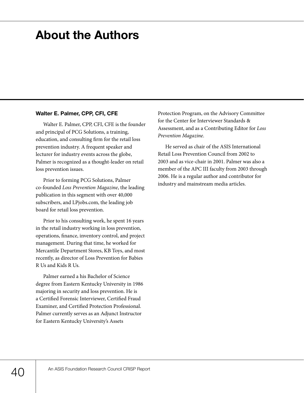### **About the Authors**

#### **Walter E. Palmer, CPP, CFI, CFE**

Walter E. Palmer, CPP, CFI, CFE is the founder and principal of PCG Solutions, a training, education, and consulting firm for the retail loss prevention industry. A frequent speaker and lecturer for industry events across the globe, Palmer is recognized as a thought-leader on retail loss prevention issues.

Prior to forming PCG Solutions, Palmer co-founded *Loss Prevention Magazine*, the leading publication in this segment with over 40,000 subscribers, and LPjobs.com, the leading job board for retail loss prevention.

Prior to his consulting work, he spent 16 years in the retail industry working in loss prevention, operations, finance, inventory control, and project management. During that time, he worked for Mercantile Department Stores, KB Toys, and most recently, as director of Loss Prevention for Babies R Us and Kids R Us.

Palmer earned a his Bachelor of Science degree from Eastern Kentucky University in 1986 majoring in security and loss prevention. He is a Certified Forensic Interviewer, Certified Fraud Examiner, and Certified Protection Professional. Palmer currently serves as an Adjunct Instructor for Eastern Kentucky University's Assets

Protection Program, on the Advisory Committee for the Center for Interviewer Standards & Assessment, and as a Contributing Editor for *Loss Prevention Magazine*.

He served as chair of the ASIS International Retail Loss Prevention Council from 2002 to 2003 and as vice-chair in 2001. Palmer was also a member of the APC III faculty from 2003 through 2006. He is a regular author and contributor for industry and mainstream media articles.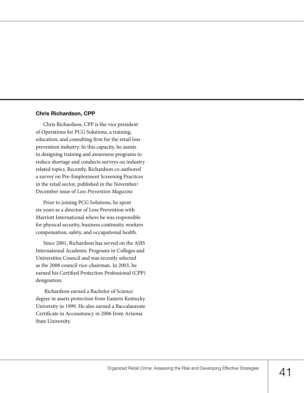#### **Chris Richardson, CPP**

Chris Richardson, CPP is the vice president of Operations for PCG Solutions, a training, education, and consulting firm for the retail loss prevention industry. In this capacity, he assists in designing training and awareness programs to reduce shortage and conducts surveys on industry related topics. Recently, Richardson co-authored a survey on Pre-Employment Screening Practices in the retail sector, published in the November/ December issue of *Loss Prevention Magazine*.

Prior to joining PCG Solutions, he spent six years as a director of Loss Prevention with Marriott International where he was responsible for physical security, business continuity, workers compensation, safety, and occupational health.

Since 2001, Richardson has served on the ASIS International Academic Programs in Colleges and Universities Council and was recently selected as the 2008 council vice-chairman. In 2003, he earned his Certified Protection Professional (CPP) designation.

 Richardson earned a Bachelor of Science degree in assets protection from Eastern Kentucky University in 1999. He also earned a Baccalaureate Certificate in Accountancy in 2006 from Arizona State University.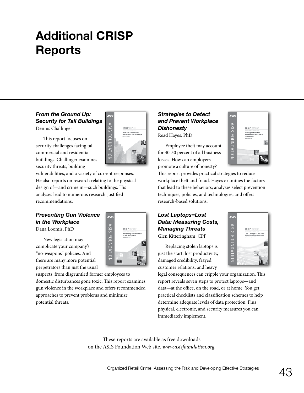### **Additional CRISP Reports**

#### *From the Ground Up: Security for Tall Buildings*  Dennis Challinger

This report focuses on security challenges facing tall commercial and residential buildings. Challinger examines security threats, building

vulnerabilities, and a variety of current responses. He also reports on research relating to the physical design of—and crime in—such buildings. His analyses lead to numerous research-justified recommendations.

ASIS

**ASIS FOUNDATION** 

page.

#### *Preventing Gun Violence in the Workplace*

Dana Loomis, PhD

New legislation may complicate your company's "no-weapons" policies. And there are many more potential perpetrators than just the usual

suspects, from disgruntled former employees to domestic disturbances gone toxic. This report examines gun violence in the workplace and offers recommended approaches to prevent problems and minimize potential threats.

#### *Strategies to Detect and Prevent Workplace Dishonesty*  Read Hayes, PhD

Employee theft may account for 40-50 percent of all business losses. How can employers promote a culture of honesty?



This report provides practical strategies to reduce workplace theft and fraud. Hayes examines the factors that lead to these behaviors; analyzes select prevention techniques, policies, and technologies; and offers research-based solutions.

#### *Lost Laptops=Lost Data: Measuring Costs, Managing Threats* Glen Kitteringham, CPP

Replacing stolen laptops is just the start: lost productivity, damaged credibility, frayed customer relations, and heavy



legal consequences can cripple your organization. This report reveals seven steps to protect laptops—and data—at the office, on the road, or at home. You get practical checklists and classification schemes to help determine adequate levels of data protection. Plus physical, electronic, and security measures you can immediately implement.

These reports are available as free downloads on the ASIS Foundation Web site, *www.asisfoundation.org*.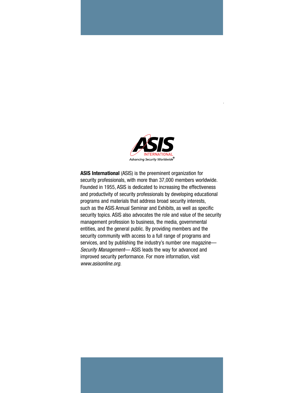

**ASIS International** (ASIS) is the preeminent organization for security professionals, with more than 37,000 members worldwide. Founded in 1955, ASIS is dedicated to increasing the effectiveness and productivity of security professionals by developing educational programs and materials that address broad security interests, such as the ASIS Annual Seminar and Exhibits, as well as specific security topics. ASIS also advocates the role and value of the security management profession to business, the media, governmental entities, and the general public. By providing members and the security community with access to a full range of programs and services, and by publishing the industry's number one magazine— *Security Management*— ASIS leads the way for advanced and improved security performance. For more information, visit *www.asisonline.org*.